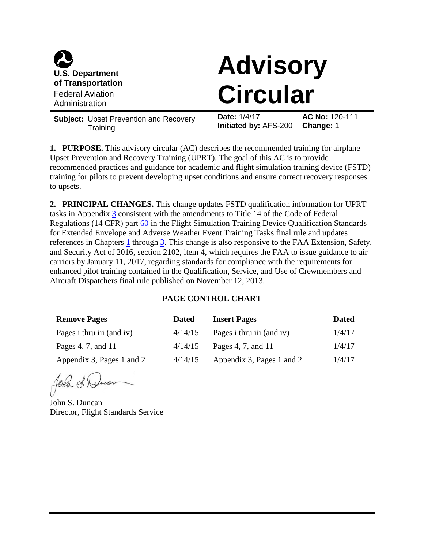

# **Advisory Circular**

**Subject:** Upset Prevention and Recovery **Training** 

**Date:** 1/4/17 **AC No:** 120-111 **Initiated by:** AFS-200 **Change:** 1

**1. PURPOSE.** This advisory circular (AC) describes the recommended training for airplane Upset Prevention and Recovery Training (UPRT). The goal of this AC is to provide recommended practices and guidance for academic and flight simulation training device (FSTD) training for pilots to prevent developing upset conditions and ensure correct recovery responses to upsets.

**2. PRINCIPAL CHANGES.** This change updates FSTD qualification information for UPRT tasks in Appendix [3](#page-42-0) consistent with the amendments to Title 14 of the Code of Federal Regulations (14 CFR) part [60](https://www.ecfr.gov/cgi-bin/text-idx?SID=14a3b57b828484354d440343a50d7fb6&mc=true&node=pt14.2.60&rgn=div5) in the Flight Simulation Training Device Qualification Standards for Extended Envelope and Adverse Weather Event Training Tasks final rule and updates references in Chapters [1](#page-3-0) through [3.](#page-13-0) This change is also responsive to the FAA Extension, Safety, and Security Act of 2016, section 2102, item 4, which requires the FAA to issue guidance to air carriers by January 11, 2017, regarding standards for compliance with the requirements for enhanced pilot training contained in the Qualification, Service, and Use of Crewmembers and Aircraft Dispatchers final rule published on November 12, 2013.

# **PAGE CONTROL CHART**

| <b>Remove Pages</b><br><b>Dated</b> |         | <b>Insert Pages</b>       | <b>Dated</b> |
|-------------------------------------|---------|---------------------------|--------------|
| Pages i thru iii (and iv)           | 4/14/15 | Pages i thru iii (and iv) | 1/4/17       |
| Pages 4, 7, and 11                  | 4/14/15 | Pages 4, 7, and 11        | 1/4/17       |
| Appendix 3, Pages 1 and 2           | 4/14/15 | Appendix 3, Pages 1 and 2 | 1/4/17       |

John d. Drion

John S. Duncan Director, Flight Standards Service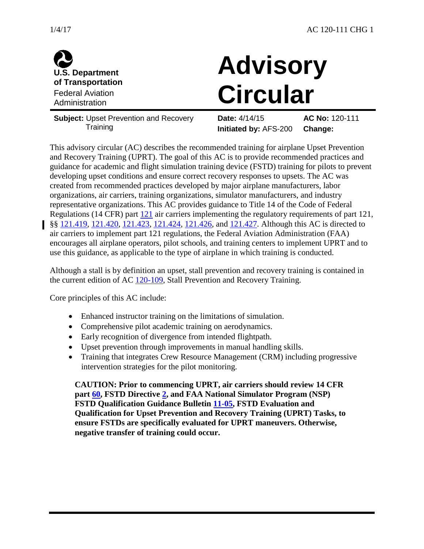



# **Advisory Circular**

**Subject:** Upset Prevention and Recovery **Training** 

**Date:** 4/14/15 **AC No:** 120-111 **Initiated by:** AFS-200 **Change:**

This advisory circular (AC) describes the recommended training for airplane Upset Prevention and Recovery Training (UPRT). The goal of this AC is to provide recommended practices and guidance for academic and flight simulation training device (FSTD) training for pilots to prevent developing upset conditions and ensure correct recovery responses to upsets. The AC was created from recommended practices developed by major airplane manufacturers, labor organizations, air carriers, training organizations, simulator manufacturers, and industry representative organizations. This AC provides guidance to Title 14 of the Code of Federal Regulations (14 CFR) part [121](https://www.ecfr.gov/cgi-bin/text-idx?SID=14a3b57b828484354d440343a50d7fb6&mc=true&node=pt14.3.121&rgn=div5) air carriers implementing the regulatory requirements of part 121, §§ [121.419,](https://www.ecfr.gov/cgi-bin/text-idx?SID=14a3b57b828484354d440343a50d7fb6&mc=true&node=se14.3.121_1419&rgn=div8) [121.420,](https://www.ecfr.gov/cgi-bin/text-idx?SID=ad4f6e922844e7c2520e273d1ff3e0dc&mc=true&node=se14.3.121_1420&rgn=div8) [121.423,](https://www.ecfr.gov/cgi-bin/text-idx?SID=14a3b57b828484354d440343a50d7fb6&mc=true&node=se14.3.121_1423&rgn=div8) [121.424,](https://www.ecfr.gov/cgi-bin/text-idx?SID=89457ef80b68e5997ee301f0655a2c4e&mc=true&node=se14.3.121_1424&rgn=div8) [121.426,](https://www.ecfr.gov/cgi-bin/text-idx?SID=ad4f6e922844e7c2520e273d1ff3e0dc&mc=true&node=se14.3.121_1426&rgn=div8) and [121.427.](https://www.ecfr.gov/cgi-bin/text-idx?SID=14a3b57b828484354d440343a50d7fb6&mc=true&node=se14.3.121_1427&rgn=div8) Although this AC is directed to air carriers to implement part 121 regulations, the Federal Aviation Administration (FAA) encourages all airplane operators, pilot schools, and training centers to implement UPRT and to use this guidance, as applicable to the type of airplane in which training is conducted.

Although a stall is by definition an upset, stall prevention and recovery training is contained in the current edition of AC [120-109,](https://www.faa.gov/regulations_policies/advisory_circulars/index.cfm/go/document.information/documentID/1028646) Stall Prevention and Recovery Training.

Core principles of this AC include:

- Enhanced instructor training on the limitations of simulation.
- Comprehensive pilot academic training on aerodynamics.
- Early recognition of divergence from intended flightpath.
- Upset prevention through improvements in manual handling skills.
- Training that integrates Crew Resource Management (CRM) including progressive intervention strategies for the pilot monitoring.

**CAUTION: Prior to commencing UPRT, air carriers should review 14 CFR part [60,](https://www.ecfr.gov/cgi-bin/text-idx?SID=14a3b57b828484354d440343a50d7fb6&mc=true&node=pt14.2.60&rgn=div5) FSTD Directive [2,](https://www.faa.gov/about/initiatives/nsp/fstd_dir/media/FSTD_Directive-2.pdf) and FAA National Simulator Program (NSP) FSTD Qualification Guidance Bulletin [11-05,](https://www.faa.gov/about/initiatives/nsp/bulletins/media/11-05.pdf) FSTD Evaluation and Qualification for Upset Prevention and Recovery Training (UPRT) Tasks, to ensure FSTDs are specifically evaluated for UPRT maneuvers. Otherwise, negative transfer of training could occur.**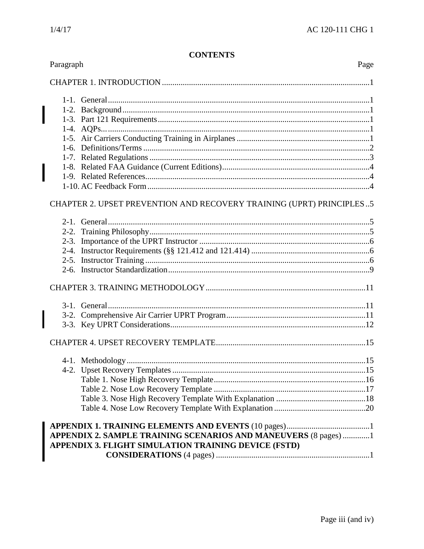$\overline{\phantom{a}}$ 

| Paragraph                                                                                                               | Page |
|-------------------------------------------------------------------------------------------------------------------------|------|
|                                                                                                                         |      |
|                                                                                                                         |      |
|                                                                                                                         |      |
|                                                                                                                         |      |
|                                                                                                                         |      |
|                                                                                                                         |      |
|                                                                                                                         |      |
|                                                                                                                         |      |
|                                                                                                                         |      |
|                                                                                                                         |      |
|                                                                                                                         |      |
| CHAPTER 2. UPSET PREVENTION AND RECOVERY TRAINING (UPRT) PRINCIPLES5                                                    |      |
|                                                                                                                         |      |
|                                                                                                                         |      |
|                                                                                                                         |      |
|                                                                                                                         |      |
|                                                                                                                         |      |
|                                                                                                                         |      |
|                                                                                                                         |      |
|                                                                                                                         |      |
|                                                                                                                         |      |
|                                                                                                                         |      |
|                                                                                                                         |      |
|                                                                                                                         |      |
|                                                                                                                         |      |
|                                                                                                                         |      |
|                                                                                                                         |      |
|                                                                                                                         |      |
|                                                                                                                         |      |
| APPENDIX 2. SAMPLE TRAINING SCENARIOS AND MANEUVERS (8 pages) 1<br>APPENDIX 3. FLIGHT SIMULATION TRAINING DEVICE (FSTD) |      |
|                                                                                                                         |      |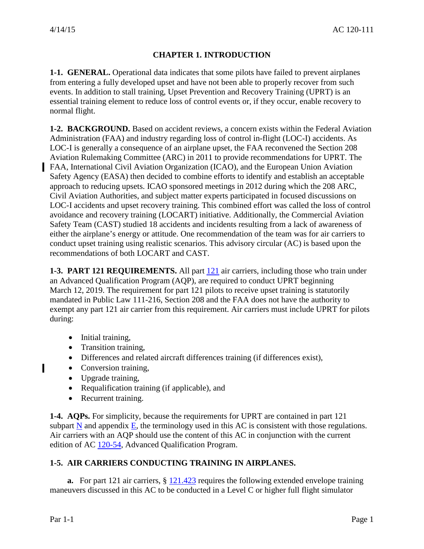# **CHAPTER 1. INTRODUCTION**

<span id="page-3-2"></span><span id="page-3-1"></span><span id="page-3-0"></span>**1-1. GENERAL.** Operational data indicates that some pilots have failed to prevent airplanes from entering a fully developed upset and have not been able to properly recover from such events. In addition to stall training, Upset Prevention and Recovery Training (UPRT) is an essential training element to reduce loss of control events or, if they occur, enable recovery to normal flight.

**1-2. BACKGROUND.** Based on accident reviews, a concern exists within the Federal Aviation Administration (FAA) and industry regarding loss of control in-flight (LOC-I) accidents. As LOC-I is generally a consequence of an airplane upset, the FAA reconvened the Section 208 Aviation Rulemaking Committee (ARC) in 2011 to provide recommendations for UPRT. The FAA, International Civil Aviation Organization (ICAO), and the European Union Aviation Safety Agency (EASA) then decided to combine efforts to identify and establish an acceptable approach to reducing upsets. ICAO sponsored meetings in 2012 during which the 208 ARC, Civil Aviation Authorities, and subject matter experts participated in focused discussions on LOC-I accidents and upset recovery training. This combined effort was called the loss of control avoidance and recovery training (LOCART) initiative. Additionally, the Commercial Aviation Safety Team (CAST) studied 18 accidents and incidents resulting from a lack of awareness of either the airplane's energy or attitude. One recommendation of the team was for air carriers to conduct upset training using realistic scenarios. This advisory circular (AC) is based upon the recommendations of both LOCART and CAST.

<span id="page-3-3"></span>**1-3. PART 121 REQUIREMENTS.** All part [121](https://www.ecfr.gov/cgi-bin/text-idx?SID=14a3b57b828484354d440343a50d7fb6&mc=true&node=pt14.3.121&rgn=div5) air carriers, including those who train under an Advanced Qualification Program (AQP), are required to conduct UPRT beginning March 12, 2019. The requirement for part 121 pilots to receive upset training is statutorily mandated in Public Law 111-216, Section 208 and the FAA does not have the authority to exempt any part 121 air carrier from this requirement. Air carriers must include UPRT for pilots during:

- Initial training,
- Transition training,
- Differences and related aircraft differences training (if differences exist),
- Conversion training,
- Upgrade training,
- Requalification training (if applicable), and
- Recurrent training.

<span id="page-3-4"></span>**1-4. AQPs.** For simplicity, because the requirements for UPRT are contained in part 121 subpart  $N$  and appendix  $E$ , the terminology used in this AC is consistent with those regulations. Air carriers with an AQP should use the content of this AC in conjunction with the current edition of AC [120-54,](https://www.faa.gov/regulations_policies/advisory_circulars/index.cfm/go/document.information/documentID/23190) Advanced Qualification Program.

# <span id="page-3-5"></span>**1-5. AIR CARRIERS CONDUCTING TRAINING IN AIRPLANES.**

**a.** For part 121 air carriers, § [121.423](https://www.ecfr.gov/cgi-bin/text-idx?SID=14a3b57b828484354d440343a50d7fb6&mc=true&node=se14.3.121_1423&rgn=div8) requires the following extended envelope training maneuvers discussed in this AC to be conducted in a Level C or higher full flight simulator

 $\blacksquare$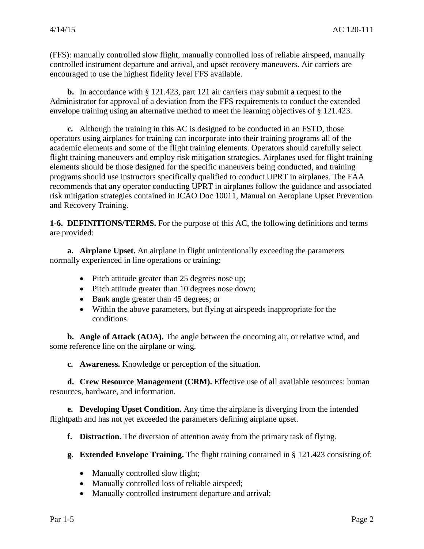(FFS): manually controlled slow flight, manually controlled loss of reliable airspeed, manually controlled instrument departure and arrival, and upset recovery maneuvers. Air carriers are encouraged to use the highest fidelity level FFS available.

**b.** In accordance with § 121.423, part 121 air carriers may submit a request to the Administrator for approval of a deviation from the FFS requirements to conduct the extended envelope training using an alternative method to meet the learning objectives of § 121.423.

**c.** Although the training in this AC is designed to be conducted in an FSTD, those operators using airplanes for training can incorporate into their training programs all of the academic elements and some of the flight training elements. Operators should carefully select flight training maneuvers and employ risk mitigation strategies. Airplanes used for flight training elements should be those designed for the specific maneuvers being conducted, and training programs should use instructors specifically qualified to conduct UPRT in airplanes. The FAA recommends that any operator conducting UPRT in airplanes follow the guidance and associated risk mitigation strategies contained in ICAO Doc 10011, Manual on Aeroplane Upset Prevention and Recovery Training.

<span id="page-4-0"></span>**1-6. DEFINITIONS/TERMS.** For the purpose of this AC, the following definitions and terms are provided:

**a. Airplane Upset.** An airplane in flight unintentionally exceeding the parameters normally experienced in line operations or training:

- Pitch attitude greater than 25 degrees nose up;
- Pitch attitude greater than 10 degrees nose down;
- Bank angle greater than 45 degrees; or
- Within the above parameters, but flying at airspeeds inappropriate for the conditions.

**b. Angle of Attack (AOA).** The angle between the oncoming air, or relative wind, and some reference line on the airplane or wing.

**c. Awareness.** Knowledge or perception of the situation.

**d. Crew Resource Management (CRM).** Effective use of all available resources: human resources, hardware, and information.

**e. Developing Upset Condition.** Any time the airplane is diverging from the intended flightpath and has not yet exceeded the parameters defining airplane upset.

**f. Distraction.** The diversion of attention away from the primary task of flying.

**g. Extended Envelope Training.** The flight training contained in § 121.423 consisting of:

- Manually controlled slow flight;
- Manually controlled loss of reliable airspeed;
- Manually controlled instrument departure and arrival;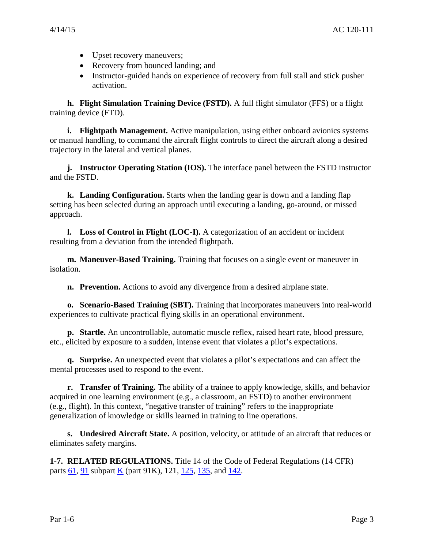- Upset recovery maneuvers;
- Recovery from bounced landing; and
- Instructor-guided hands on experience of recovery from full stall and stick pusher activation.

**h. Flight Simulation Training Device (FSTD).** A full flight simulator (FFS) or a flight training device (FTD).

**i. Flightpath Management.** Active manipulation, using either onboard avionics systems or manual handling, to command the aircraft flight controls to direct the aircraft along a desired trajectory in the lateral and vertical planes.

**j. Instructor Operating Station (IOS).** The interface panel between the FSTD instructor and the FSTD.

**k. Landing Configuration.** Starts when the landing gear is down and a landing flap setting has been selected during an approach until executing a landing, go-around, or missed approach.

**l. Loss of Control in Flight (LOC-I).** A categorization of an accident or incident resulting from a deviation from the intended flightpath.

**m. Maneuver-Based Training.** Training that focuses on a single event or maneuver in isolation.

**n. Prevention.** Actions to avoid any divergence from a desired airplane state.

**o. Scenario-Based Training (SBT).** Training that incorporates maneuvers into real-world experiences to cultivate practical flying skills in an operational environment.

**p. Startle.** An uncontrollable, automatic muscle reflex, raised heart rate, blood pressure, etc., elicited by exposure to a sudden, intense event that violates a pilot's expectations.

**q. Surprise.** An unexpected event that violates a pilot's expectations and can affect the mental processes used to respond to the event.

**r. Transfer of Training.** The ability of a trainee to apply knowledge, skills, and behavior acquired in one learning environment (e.g., a classroom, an FSTD) to another environment (e.g., flight). In this context, "negative transfer of training" refers to the inappropriate generalization of knowledge or skills learned in training to line operations.

**s. Undesired Aircraft State.** A position, velocity, or attitude of an aircraft that reduces or eliminates safety margins.

<span id="page-5-0"></span>**1-7. RELATED REGULATIONS.** Title 14 of the Code of Federal Regulations (14 CFR) parts  $61$ ,  $91$  subpart  $K$  (part 91K), 121, [125,](https://www.ecfr.gov/cgi-bin/text-idx?SID=3d54f776ec617c64722c188eb5f27550&mc=true&node=pt14.3.125&rgn=div5) [135,](https://www.ecfr.gov/cgi-bin/text-idx?c=ecfr&sid=c84bd8032ec11cedbc292483eeb9a6a6&rgn=div5&view=text&node=14:3.0.1.1.11&idno=14) and [142.](https://www.ecfr.gov/cgi-bin/retrieveECFR?gp=&SID=c8f4204950118a199ca4f1a00f11301c&r=PART&n=14y3.0.1.2.17)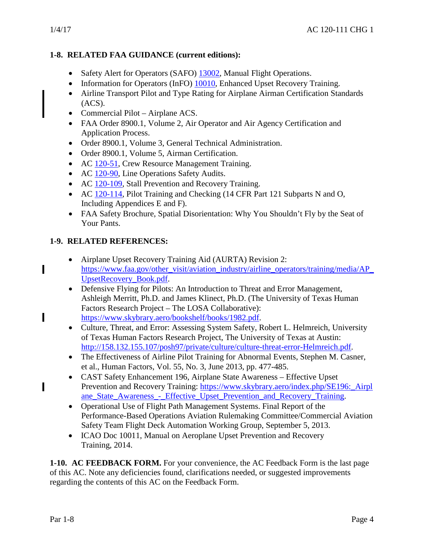п

 $\blacksquare$ 

Π

# <span id="page-6-0"></span>**1-8. RELATED FAA GUIDANCE (current editions):**

- Safety Alert for Operators (SAFO) [13002,](https://www.faa.gov/other_visit/aviation_industry/airline_operators/airline_safety/safo/all_safos/media/2013/SAFO13002.pdf) Manual Flight Operations.
- Information for Operators (InFO) [10010,](https://www.faa.gov/other_visit/aviation_industry/airline_operators/airline_safety/info/all_infos/media/2010/InFO10010.pdf) Enhanced Upset Recovery Training.
- Airline Transport Pilot and Type Rating for Airplane Airman Certification Standards  $(ACS).$
- Commercial Pilot Airplane ACS.
- FAA Order 8900.1, Volume 2, Air Operator and Air Agency Certification and Application Process.
- Order 8900.1, Volume 3, General Technical Administration.
- Order 8900.1, Volume 5, Airman Certification.
- AC [120-51,](https://www.faa.gov/regulations_policies/advisory_circulars/index.cfm/go/document.information/documentID/22879) Crew Resource Management Training.
- AC [120-90,](https://www.faa.gov/regulations_policies/advisory_circulars/index.cfm/go/document.information/documentID/22478) Line Operations Safety Audits.
- AC [120-109,](https://www.faa.gov/regulations_policies/advisory_circulars/index.cfm/go/document.information/documentID/1028646) Stall Prevention and Recovery Training.
- AC [120-114,](https://www.faa.gov/regulations_policies/advisory_circulars/index.cfm/go/document.information/documentID/1030049) Pilot Training and Checking (14 CFR Part 121 Subparts N and O, Including Appendices E and F).
- FAA Safety Brochure, Spatial Disorientation: Why You Shouldn't Fly by the Seat of Your Pants.

# <span id="page-6-1"></span>**1-9. RELATED REFERENCES:**

- Airplane Upset Recovery Training Aid (AURTA) Revision 2: [https://www.faa.gov/other\\_visit/aviation\\_industry/airline\\_operators/training/media/AP\\_](https://www.faa.gov/other_visit/aviation_industry/airline_operators/training/media/AP_UpsetRecovery_Book.pdf) [UpsetRecovery\\_Book.pdf.](https://www.faa.gov/other_visit/aviation_industry/airline_operators/training/media/AP_UpsetRecovery_Book.pdf)
- Defensive Flying for Pilots: An Introduction to Threat and Error Management, Ashleigh Merritt, Ph.D. and James Klinect, Ph.D. (The University of Texas Human Factors Research Project – The LOSA Collaborative): [https://www.skybrary.aero/bookshelf/books/1982.pdf.](https://www.skybrary.aero/bookshelf/books/1982.pdf)
- Culture, Threat, and Error: Assessing System Safety, Robert L. Helmreich, University of Texas Human Factors Research Project, The University of Texas at Austin: [http://158.132.155.107/posh97/private/culture/culture-threat-error-Helmreich.pdf.](http://158.132.155.107/posh97/private/culture/culture-threat-error-Helmreich.pdf)
- The Effectiveness of Airline Pilot Training for Abnormal Events, Stephen M. Casner, et al., Human Factors, Vol. 55, No. 3, June 2013, pp. 477-485.
- CAST Safety Enhancement 196, Airplane State Awareness Effective Upset Prevention and Recovery Training: [https://www.skybrary.aero/index.php/SE196:\\_Airpl](https://www.skybrary.aero/index.php/SE196:_Airplane_State_Awareness_-_Effective_Upset_Prevention_and_Recovery_Training) [ane\\_State\\_Awareness\\_-\\_Effective\\_Upset\\_Prevention\\_and\\_Recovery\\_Training.](https://www.skybrary.aero/index.php/SE196:_Airplane_State_Awareness_-_Effective_Upset_Prevention_and_Recovery_Training)
- Operational Use of Flight Path Management Systems. Final Report of the Performance-Based Operations Aviation Rulemaking Committee/Commercial Aviation Safety Team Flight Deck Automation Working Group, September 5, 2013.
- ICAO Doc 10011, Manual on Aeroplane Upset Prevention and Recovery Training, 2014.

<span id="page-6-2"></span>**1-10. AC FEEDBACK FORM.** For your convenience, the AC Feedback Form is the last page of this AC. Note any deficiencies found, clarifications needed, or suggested improvements regarding the contents of this AC on the Feedback Form.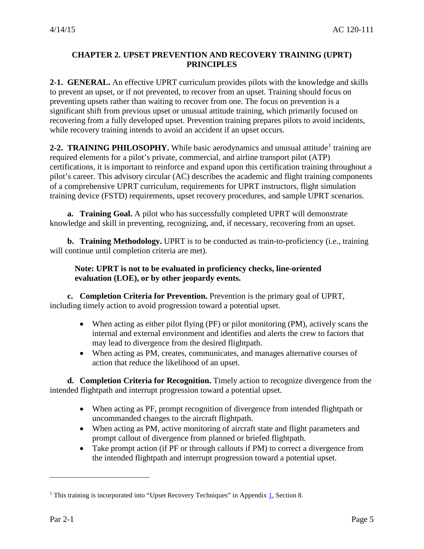### <span id="page-7-0"></span>**CHAPTER 2. UPSET PREVENTION AND RECOVERY TRAINING (UPRT) PRINCIPLES**

<span id="page-7-1"></span>**2-1. GENERAL.** An effective UPRT curriculum provides pilots with the knowledge and skills to prevent an upset, or if not prevented, to recover from an upset. Training should focus on preventing upsets rather than waiting to recover from one. The focus on prevention is a significant shift from previous upset or unusual attitude training, which primarily focused on recovering from a fully developed upset. Prevention training prepares pilots to avoid incidents, while recovery training intends to avoid an accident if an upset occurs.

<span id="page-7-2"></span>**2-2. TRAINING PHILOSOPHY.** While basic aerodynamics and unusual attitude<sup>[1](#page-7-3)</sup> training are required elements for a pilot's private, commercial, and airline transport pilot (ATP) certifications, it is important to reinforce and expand upon this certification training throughout a pilot's career. This advisory circular (AC) describes the academic and flight training components of a comprehensive UPRT curriculum, requirements for UPRT instructors, flight simulation training device (FSTD) requirements, upset recovery procedures, and sample UPRT scenarios.

**a. Training Goal.** A pilot who has successfully completed UPRT will demonstrate knowledge and skill in preventing, recognizing, and, if necessary, recovering from an upset.

**b. Training Methodology.** UPRT is to be conducted as train-to-proficiency (i.e., training will continue until completion criteria are met).

#### **Note: UPRT is not to be evaluated in proficiency checks, line-oriented evaluation (LOE), or by other jeopardy events.**

**c. Completion Criteria for Prevention.** Prevention is the primary goal of UPRT, including timely action to avoid progression toward a potential upset.

- When acting as either pilot flying (PF) or pilot monitoring (PM), actively scans the internal and external environment and identifies and alerts the crew to factors that may lead to divergence from the desired flightpath.
- When acting as PM, creates, communicates, and manages alternative courses of action that reduce the likelihood of an upset.

**d. Completion Criteria for Recognition.** Timely action to recognize divergence from the intended flightpath and interrupt progression toward a potential upset.

- When acting as PF, prompt recognition of divergence from intended flightpath or uncommanded changes to the aircraft flightpath.
- When acting as PM, active monitoring of aircraft state and flight parameters and prompt callout of divergence from planned or briefed flightpath.
- Take prompt action (if PF or through callouts if PM) to correct a divergence from the intended flightpath and interrupt progression toward a potential upset.

<span id="page-7-3"></span><sup>&</sup>lt;sup>1</sup> This training is incorporated into "Upset Recovery Techniques" in Appendix  $\frac{1}{1}$ , Section 8.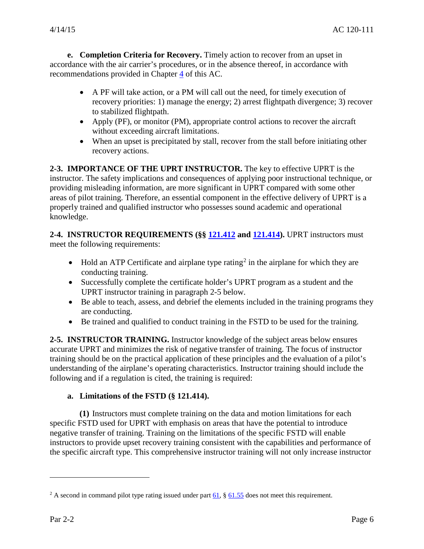**e. Completion Criteria for Recovery.** Timely action to recover from an upset in accordance with the air carrier's procedures, or in the absence thereof, in accordance with recommendations provided in Chapter [4](#page-17-0) of this AC.

- A PF will take action, or a PM will call out the need, for timely execution of recovery priorities: 1) manage the energy; 2) arrest flightpath divergence; 3) recover to stabilized flightpath.
- Apply (PF), or monitor (PM), appropriate control actions to recover the aircraft without exceeding aircraft limitations.
- When an upset is precipitated by stall, recover from the stall before initiating other recovery actions.

<span id="page-8-0"></span>**2-3. IMPORTANCE OF THE UPRT INSTRUCTOR.** The key to effective UPRT is the instructor. The safety implications and consequences of applying poor instructional technique, or providing misleading information, are more significant in UPRT compared with some other areas of pilot training. Therefore, an essential component in the effective delivery of UPRT is a properly trained and qualified instructor who possesses sound academic and operational knowledge.

<span id="page-8-1"></span>**2-4. INSTRUCTOR REQUIREMENTS (§§ [121.412](https://www.ecfr.gov/cgi-bin/text-idx?SID=3a03c11913b77db849845b3654d84109&mc=true&node=se14.3.121_1412&rgn=div8) and [121.414\)](https://www.ecfr.gov/cgi-bin/text-idx?SID=3a03c11913b77db849845b3654d84109&mc=true&node=se14.3.121_1414&rgn=div8).** UPRT instructors must meet the following requirements:

- Hold an ATP Certificate and airplane type rating<sup>[2](#page-8-3)</sup> in the airplane for which they are conducting training.
- Successfully complete the certificate holder's UPRT program as a student and the UPRT instructor training in paragraph 2-5 below.
- Be able to teach, assess, and debrief the elements included in the training programs they are conducting.
- Be trained and qualified to conduct training in the FSTD to be used for the training.

<span id="page-8-2"></span>**2-5. INSTRUCTOR TRAINING.** Instructor knowledge of the subject areas below ensures accurate UPRT and minimizes the risk of negative transfer of training. The focus of instructor training should be on the practical application of these principles and the evaluation of a pilot's understanding of the airplane's operating characteristics. Instructor training should include the following and if a regulation is cited, the training is required:

#### **a. Limitations of the FSTD (§ 121.414).**

**(1)** Instructors must complete training on the data and motion limitations for each specific FSTD used for UPRT with emphasis on areas that have the potential to introduce negative transfer of training. Training on the limitations of the specific FSTD will enable instructors to provide upset recovery training consistent with the capabilities and performance of the specific aircraft type. This comprehensive instructor training will not only increase instructor

<span id="page-8-3"></span><sup>&</sup>lt;sup>2</sup> A second in command pilot type rating issued under part  $\underline{61}$ , §  $\underline{61.55}$  $\underline{61.55}$  $\underline{61.55}$  does not meet this requirement.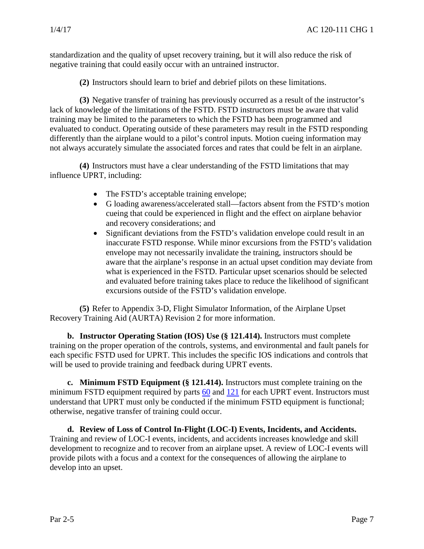standardization and the quality of upset recovery training, but it will also reduce the risk of negative training that could easily occur with an untrained instructor.

**(2)** Instructors should learn to brief and debrief pilots on these limitations.

**(3)** Negative transfer of training has previously occurred as a result of the instructor's lack of knowledge of the limitations of the FSTD. FSTD instructors must be aware that valid training may be limited to the parameters to which the FSTD has been programmed and evaluated to conduct. Operating outside of these parameters may result in the FSTD responding differently than the airplane would to a pilot's control inputs. Motion cueing information may not always accurately simulate the associated forces and rates that could be felt in an airplane.

**(4)** Instructors must have a clear understanding of the FSTD limitations that may influence UPRT, including:

- The FSTD's acceptable training envelope;
- G loading awareness/accelerated stall—factors absent from the FSTD's motion cueing that could be experienced in flight and the effect on airplane behavior and recovery considerations; and
- Significant deviations from the FSTD's validation envelope could result in an inaccurate FSTD response. While minor excursions from the FSTD's validation envelope may not necessarily invalidate the training, instructors should be aware that the airplane's response in an actual upset condition may deviate from what is experienced in the FSTD. Particular upset scenarios should be selected and evaluated before training takes place to reduce the likelihood of significant excursions outside of the FSTD's validation envelope.

**(5)** Refer to Appendix 3-D, Flight Simulator Information, of the Airplane Upset Recovery Training Aid (AURTA) Revision 2 for more information.

**b. Instructor Operating Station (IOS) Use (§ 121.414).** Instructors must complete training on the proper operation of the controls, systems, and environmental and fault panels for each specific FSTD used for UPRT. This includes the specific IOS indications and controls that will be used to provide training and feedback during UPRT events.

**c. Minimum FSTD Equipment (§ 121.414).** Instructors must complete training on the minimum FSTD equipment required by parts  $60$  and  $121$  for each UPRT event. Instructors must understand that UPRT must only be conducted if the minimum FSTD equipment is functional; otherwise, negative transfer of training could occur.

**d. Review of Loss of Control In-Flight (LOC-I) Events, Incidents, and Accidents.** Training and review of LOC-I events, incidents, and accidents increases knowledge and skill development to recognize and to recover from an airplane upset. A review of LOC-I events will provide pilots with a focus and a context for the consequences of allowing the airplane to develop into an upset.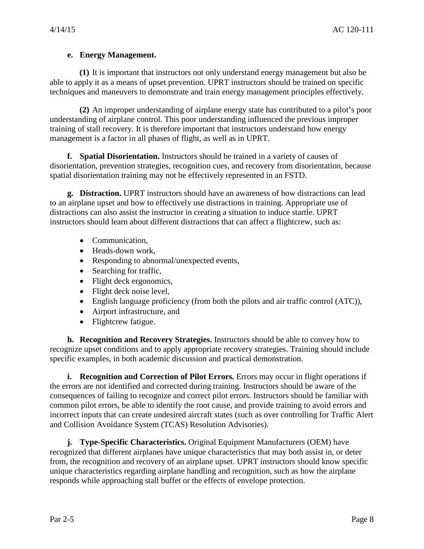#### **e. Energy Management.**

**(1)** It is important that instructors not only understand energy management but also be able to apply it as a means of upset prevention. UPRT instructors should be trained on specific techniques and maneuvers to demonstrate and train energy management principles effectively.

**(2)** An improper understanding of airplane energy state has contributed to a pilot's poor understanding of airplane control. This poor understanding influenced the previous improper training of stall recovery. It is therefore important that instructors understand how energy management is a factor in all phases of flight, as well as in UPRT.

**f. Spatial Disorientation.** Instructors should be trained in a variety of causes of disorientation, prevention strategies, recognition cues, and recovery from disorientation, because spatial disorientation training may not be effectively represented in an FSTD.

**g. Distraction.** UPRT instructors should have an awareness of how distractions can lead to an airplane upset and how to effectively use distractions in training. Appropriate use of distractions can also assist the instructor in creating a situation to induce startle. UPRT instructors should learn about different distractions that can affect a flightcrew, such as:

- Communication,
- Heads-down work.
- Responding to abnormal/unexpected events,
- Searching for traffic,
- Flight deck ergonomics,
- Flight deck noise level,
- English language proficiency (from both the pilots and air traffic control (ATC)),
- Airport infrastructure, and
- Flightcrew fatigue.

**h. Recognition and Recovery Strategies.** Instructors should be able to convey how to recognize upset conditions and to apply appropriate recovery strategies. Training should include specific examples, in both academic discussion and practical demonstration.

**i. Recognition and Correction of Pilot Errors.** Errors may occur in flight operations if the errors are not identified and corrected during training. Instructors should be aware of the consequences of failing to recognize and correct pilot errors. Instructors should be familiar with common pilot errors, be able to identify the root cause, and provide training to avoid errors and incorrect inputs that can create undesired aircraft states (such as over controlling for Traffic Alert and Collision Avoidance System (TCAS) Resolution Advisories).

**j. Type-Specific Characteristics.** Original Equipment Manufacturers (OEM) have recognized that different airplanes have unique characteristics that may both assist in, or deter from, the recognition and recovery of an airplane upset. UPRT instructors should know specific unique characteristics regarding airplane handling and recognition, such as how the airplane responds while approaching stall buffet or the effects of envelope protection.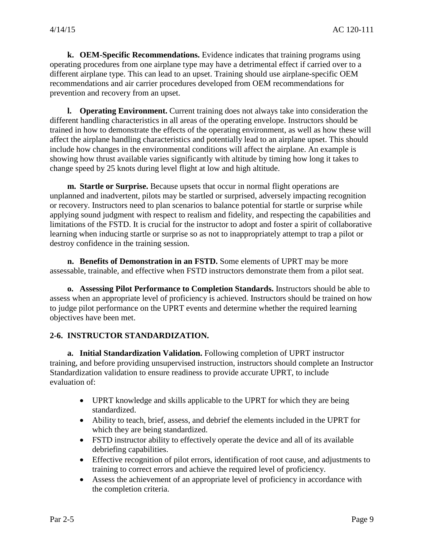**k. OEM-Specific Recommendations.** Evidence indicates that training programs using operating procedures from one airplane type may have a detrimental effect if carried over to a different airplane type. This can lead to an upset. Training should use airplane-specific OEM recommendations and air carrier procedures developed from OEM recommendations for prevention and recovery from an upset.

**l. Operating Environment.** Current training does not always take into consideration the different handling characteristics in all areas of the operating envelope. Instructors should be trained in how to demonstrate the effects of the operating environment, as well as how these will affect the airplane handling characteristics and potentially lead to an airplane upset. This should include how changes in the environmental conditions will affect the airplane. An example is showing how thrust available varies significantly with altitude by timing how long it takes to change speed by 25 knots during level flight at low and high altitude.

**m. Startle or Surprise.** Because upsets that occur in normal flight operations are unplanned and inadvertent, pilots may be startled or surprised, adversely impacting recognition or recovery. Instructors need to plan scenarios to balance potential for startle or surprise while applying sound judgment with respect to realism and fidelity, and respecting the capabilities and limitations of the FSTD. It is crucial for the instructor to adopt and foster a spirit of collaborative learning when inducing startle or surprise so as not to inappropriately attempt to trap a pilot or destroy confidence in the training session.

**n. Benefits of Demonstration in an FSTD.** Some elements of UPRT may be more assessable, trainable, and effective when FSTD instructors demonstrate them from a pilot seat.

**o. Assessing Pilot Performance to Completion Standards.** Instructors should be able to assess when an appropriate level of proficiency is achieved. Instructors should be trained on how to judge pilot performance on the UPRT events and determine whether the required learning objectives have been met.

#### <span id="page-11-0"></span>**2-6. INSTRUCTOR STANDARDIZATION.**

**a. Initial Standardization Validation.** Following completion of UPRT instructor training, and before providing unsupervised instruction, instructors should complete an Instructor Standardization validation to ensure readiness to provide accurate UPRT, to include evaluation of:

- UPRT knowledge and skills applicable to the UPRT for which they are being standardized.
- Ability to teach, brief, assess, and debrief the elements included in the UPRT for which they are being standardized.
- FSTD instructor ability to effectively operate the device and all of its available debriefing capabilities.
- Effective recognition of pilot errors, identification of root cause, and adjustments to training to correct errors and achieve the required level of proficiency.
- Assess the achievement of an appropriate level of proficiency in accordance with the completion criteria.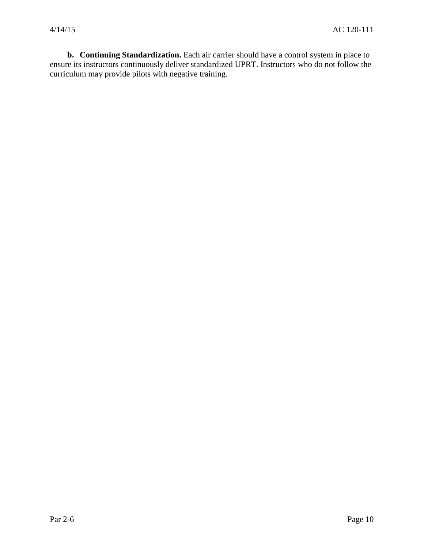**b. Continuing Standardization.** Each air carrier should have a control system in place to ensure its instructors continuously deliver standardized UPRT. Instructors who do not follow the curriculum may provide pilots with negative training.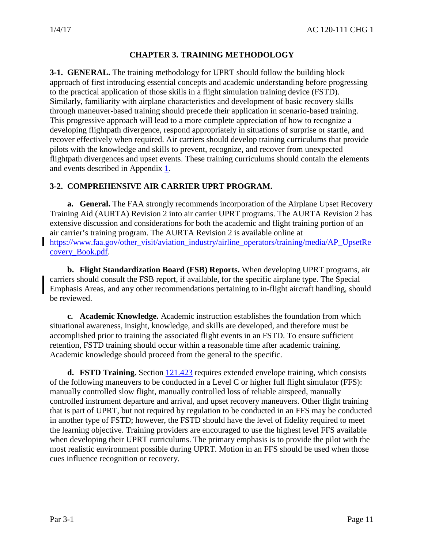# **CHAPTER 3. TRAINING METHODOLOGY**

<span id="page-13-1"></span><span id="page-13-0"></span>**3-1. GENERAL.** The training methodology for UPRT should follow the building block approach of first introducing essential concepts and academic understanding before progressing to the practical application of those skills in a flight simulation training device (FSTD). Similarly, familiarity with airplane characteristics and development of basic recovery skills through maneuver-based training should precede their application in scenario-based training. This progressive approach will lead to a more complete appreciation of how to recognize a developing flightpath divergence, respond appropriately in situations of surprise or startle, and recover effectively when required. Air carriers should develop training curriculums that provide pilots with the knowledge and skills to prevent, recognize, and recover from unexpected flightpath divergences and upset events. These training curriculums should contain the elements and events described in Appendix [1.](#page-24-0)

#### <span id="page-13-2"></span>**3-2. COMPREHENSIVE AIR CARRIER UPRT PROGRAM.**

**a. General.** The FAA strongly recommends incorporation of the Airplane Upset Recovery Training Aid (AURTA) Revision 2 into air carrier UPRT programs. The AURTA Revision 2 has extensive discussion and considerations for both the academic and flight training portion of an air carrier's training program. The AURTA Revision 2 is available online at [https://www.faa.gov/other\\_visit/aviation\\_industry/airline\\_operators/training/media/AP\\_UpsetRe](https://www.faa.gov/other_visit/aviation_industry/airline_operators/training/media/AP_UpsetRecovery_Book.pdf) [covery\\_Book.pdf.](https://www.faa.gov/other_visit/aviation_industry/airline_operators/training/media/AP_UpsetRecovery_Book.pdf)

**b. Flight Standardization Board (FSB) Reports.** When developing UPRT programs, air carriers should consult the FSB report, if available, for the specific airplane type. The Special Emphasis Areas, and any other recommendations pertaining to in-flight aircraft handling, should be reviewed.

**c. Academic Knowledge.** Academic instruction establishes the foundation from which situational awareness, insight, knowledge, and skills are developed, and therefore must be accomplished prior to training the associated flight events in an FSTD. To ensure sufficient retention, FSTD training should occur within a reasonable time after academic training. Academic knowledge should proceed from the general to the specific.

**d. FSTD Training.** Section  $121.423$  requires extended envelope training, which consists of the following maneuvers to be conducted in a Level C or higher full flight simulator (FFS): manually controlled slow flight, manually controlled loss of reliable airspeed, manually controlled instrument departure and arrival, and upset recovery maneuvers. Other flight training that is part of UPRT, but not required by regulation to be conducted in an FFS may be conducted in another type of FSTD; however, the FSTD should have the level of fidelity required to meet the learning objective. Training providers are encouraged to use the highest level FFS available when developing their UPRT curriculums. The primary emphasis is to provide the pilot with the most realistic environment possible during UPRT. Motion in an FFS should be used when those cues influence recognition or recovery.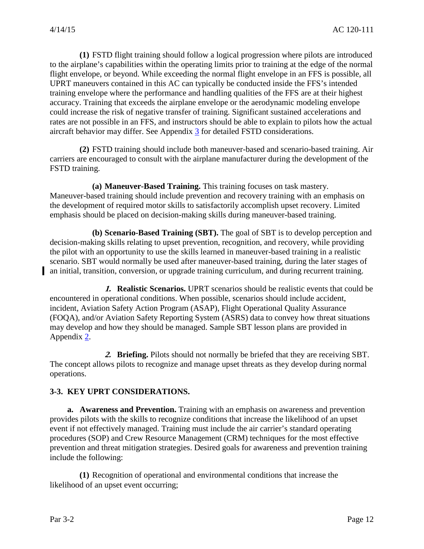**(1)** FSTD flight training should follow a logical progression where pilots are introduced to the airplane's capabilities within the operating limits prior to training at the edge of the normal flight envelope, or beyond. While exceeding the normal flight envelope in an FFS is possible, all UPRT maneuvers contained in this AC can typically be conducted inside the FFS's intended training envelope where the performance and handling qualities of the FFS are at their highest accuracy. Training that exceeds the airplane envelope or the aerodynamic modeling envelope could increase the risk of negative transfer of training. Significant sustained accelerations and rates are not possible in an FFS, and instructors should be able to explain to pilots how the actual aircraft behavior may differ. See Appendix [3](#page-42-0) for detailed FSTD considerations.

**(2)** FSTD training should include both maneuver-based and scenario-based training. Air carriers are encouraged to consult with the airplane manufacturer during the development of the FSTD training.

**(a) Maneuver-Based Training.** This training focuses on task mastery. Maneuver-based training should include prevention and recovery training with an emphasis on the development of required motor skills to satisfactorily accomplish upset recovery. Limited emphasis should be placed on decision-making skills during maneuver-based training.

**(b) Scenario-Based Training (SBT).** The goal of SBT is to develop perception and decision-making skills relating to upset prevention, recognition, and recovery, while providing the pilot with an opportunity to use the skills learned in maneuver-based training in a realistic scenario. SBT would normally be used after maneuver-based training, during the later stages of an initial, transition, conversion, or upgrade training curriculum, and during recurrent training.

**1. Realistic Scenarios.** UPRT scenarios should be realistic events that could be encountered in operational conditions. When possible, scenarios should include accident, incident, Aviation Safety Action Program (ASAP), Flight Operational Quality Assurance (FOQA), and/or Aviation Safety Reporting System (ASRS) data to convey how threat situations may develop and how they should be managed. Sample SBT lesson plans are provided in Appendix [2.](#page-34-0)

**2. Briefing.** Pilots should not normally be briefed that they are receiving SBT. The concept allows pilots to recognize and manage upset threats as they develop during normal operations.

#### <span id="page-14-0"></span>**3-3. KEY UPRT CONSIDERATIONS.**

**a. Awareness and Prevention.** Training with an emphasis on awareness and prevention provides pilots with the skills to recognize conditions that increase the likelihood of an upset event if not effectively managed. Training must include the air carrier's standard operating procedures (SOP) and Crew Resource Management (CRM) techniques for the most effective prevention and threat mitigation strategies. Desired goals for awareness and prevention training include the following:

**(1)** Recognition of operational and environmental conditions that increase the likelihood of an upset event occurring;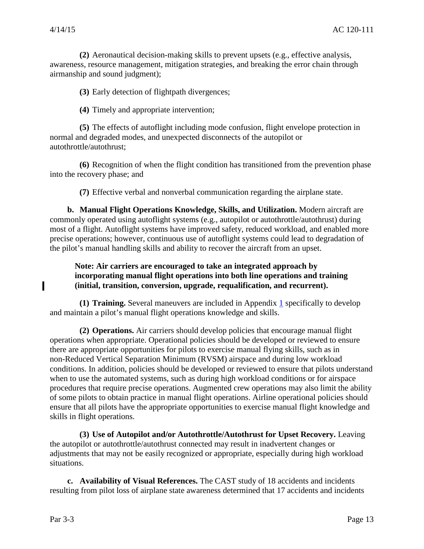**(2)** Aeronautical decision-making skills to prevent upsets (e.g., effective analysis, awareness, resource management, mitigation strategies, and breaking the error chain through airmanship and sound judgment);

**(3)** Early detection of flightpath divergences;

**(4)** Timely and appropriate intervention;

**(5)** The effects of autoflight including mode confusion, flight envelope protection in normal and degraded modes, and unexpected disconnects of the autopilot or autothrottle/autothrust;

**(6)** Recognition of when the flight condition has transitioned from the prevention phase into the recovery phase; and

**(7)** Effective verbal and nonverbal communication regarding the airplane state.

**b. Manual Flight Operations Knowledge, Skills, and Utilization.** Modern aircraft are commonly operated using autoflight systems (e.g., autopilot or autothrottle/autothrust) during most of a flight. Autoflight systems have improved safety, reduced workload, and enabled more precise operations; however, continuous use of autoflight systems could lead to degradation of the pilot's manual handling skills and ability to recover the aircraft from an upset.

#### **Note: Air carriers are encouraged to take an integrated approach by incorporating manual flight operations into both line operations and training (initial, transition, conversion, upgrade, requalification, and recurrent).**

**(1) Training.** Several maneuvers are included in Appendix [1](#page-24-0) specifically to develop and maintain a pilot's manual flight operations knowledge and skills.

**(2) Operations.** Air carriers should develop policies that encourage manual flight operations when appropriate. Operational policies should be developed or reviewed to ensure there are appropriate opportunities for pilots to exercise manual flying skills, such as in non-Reduced Vertical Separation Minimum (RVSM) airspace and during low workload conditions. In addition, policies should be developed or reviewed to ensure that pilots understand when to use the automated systems, such as during high workload conditions or for airspace procedures that require precise operations. Augmented crew operations may also limit the ability of some pilots to obtain practice in manual flight operations. Airline operational policies should ensure that all pilots have the appropriate opportunities to exercise manual flight knowledge and skills in flight operations.

**(3) Use of Autopilot and/or Autothrottle/Autothrust for Upset Recovery.** Leaving the autopilot or autothrottle/autothrust connected may result in inadvertent changes or adjustments that may not be easily recognized or appropriate, especially during high workload situations.

**c. Availability of Visual References.** The CAST study of 18 accidents and incidents resulting from pilot loss of airplane state awareness determined that 17 accidents and incidents

П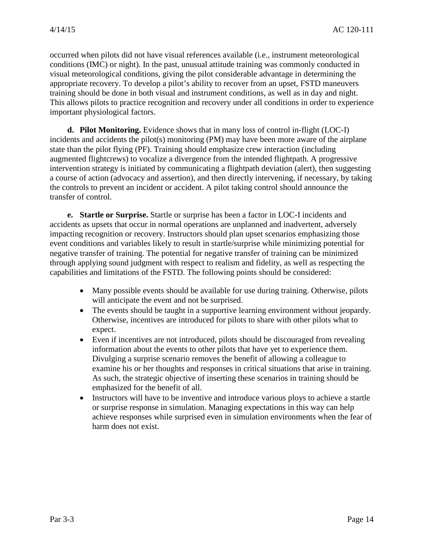occurred when pilots did not have visual references available (i.e., instrument meteorological conditions (IMC) or night). In the past, unusual attitude training was commonly conducted in visual meteorological conditions, giving the pilot considerable advantage in determining the appropriate recovery. To develop a pilot's ability to recover from an upset, FSTD maneuvers training should be done in both visual and instrument conditions, as well as in day and night. This allows pilots to practice recognition and recovery under all conditions in order to experience important physiological factors.

**d. Pilot Monitoring.** Evidence shows that in many loss of control in-flight (LOC-I) incidents and accidents the pilot(s) monitoring (PM) may have been more aware of the airplane state than the pilot flying (PF). Training should emphasize crew interaction (including augmented flightcrews) to vocalize a divergence from the intended flightpath. A progressive intervention strategy is initiated by communicating a flightpath deviation (alert), then suggesting a course of action (advocacy and assertion), and then directly intervening, if necessary, by taking the controls to prevent an incident or accident. A pilot taking control should announce the transfer of control.

**e. Startle or Surprise.** Startle or surprise has been a factor in LOC-I incidents and accidents as upsets that occur in normal operations are unplanned and inadvertent, adversely impacting recognition or recovery. Instructors should plan upset scenarios emphasizing those event conditions and variables likely to result in startle/surprise while minimizing potential for negative transfer of training. The potential for negative transfer of training can be minimized through applying sound judgment with respect to realism and fidelity, as well as respecting the capabilities and limitations of the FSTD. The following points should be considered:

- Many possible events should be available for use during training. Otherwise, pilots will anticipate the event and not be surprised.
- The events should be taught in a supportive learning environment without jeopardy. Otherwise, incentives are introduced for pilots to share with other pilots what to expect.
- Even if incentives are not introduced, pilots should be discouraged from revealing information about the events to other pilots that have yet to experience them. Divulging a surprise scenario removes the benefit of allowing a colleague to examine his or her thoughts and responses in critical situations that arise in training. As such, the strategic objective of inserting these scenarios in training should be emphasized for the benefit of all.
- Instructors will have to be inventive and introduce various ploys to achieve a startle or surprise response in simulation. Managing expectations in this way can help achieve responses while surprised even in simulation environments when the fear of harm does not exist.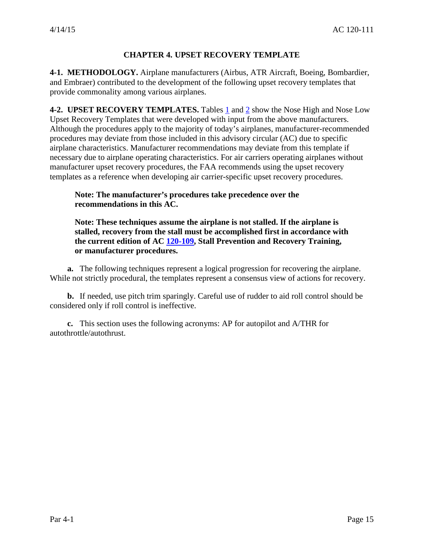#### **CHAPTER 4. UPSET RECOVERY TEMPLATE**

<span id="page-17-1"></span><span id="page-17-0"></span>**4-1. METHODOLOGY.** Airplane manufacturers (Airbus, ATR Aircraft, Boeing, Bombardier, and Embraer) contributed to the development of the following upset recovery templates that provide commonality among various airplanes.

<span id="page-17-2"></span>**4-2. UPSET RECOVERY TEMPLATES.** Tables  $\underline{1}$  and  $\underline{2}$  show the Nose High and Nose Low Upset Recovery Templates that were developed with input from the above manufacturers. Although the procedures apply to the majority of today's airplanes, manufacturer-recommended procedures may deviate from those included in this advisory circular (AC) due to specific airplane characteristics. Manufacturer recommendations may deviate from this template if necessary due to airplane operating characteristics. For air carriers operating airplanes without manufacturer upset recovery procedures, the FAA recommends using the upset recovery templates as a reference when developing air carrier-specific upset recovery procedures.

#### **Note: The manufacturer's procedures take precedence over the recommendations in this AC.**

**Note: These techniques assume the airplane is not stalled. If the airplane is stalled, recovery from the stall must be accomplished first in accordance with the current edition of AC [120-109,](https://www.faa.gov/regulations_policies/advisory_circulars/index.cfm/go/document.information/documentID/1028646) Stall Prevention and Recovery Training, or manufacturer procedures.**

**a.** The following techniques represent a logical progression for recovering the airplane. While not strictly procedural, the templates represent a consensus view of actions for recovery.

**b.** If needed, use pitch trim sparingly. Careful use of rudder to aid roll control should be considered only if roll control is ineffective.

**c.** This section uses the following acronyms: AP for autopilot and A/THR for autothrottle/autothrust.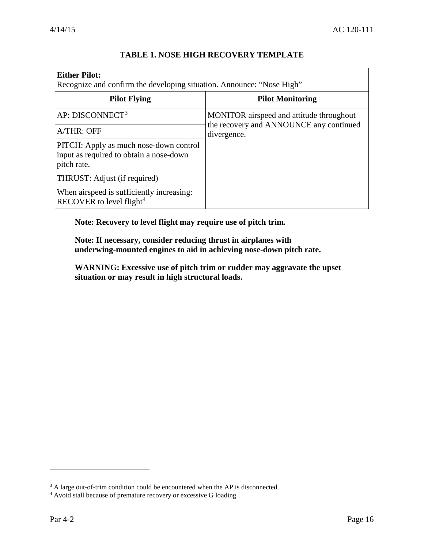<span id="page-18-0"></span> $\overline{1}$ 

٦

| <b>Either Pilot:</b><br>Recognize and confirm the developing situation. Announce: "Nose High"    |                                                        |  |
|--------------------------------------------------------------------------------------------------|--------------------------------------------------------|--|
| <b>Pilot Flying</b>                                                                              | <b>Pilot Monitoring</b>                                |  |
| AP: DISCONNECT <sup>3</sup>                                                                      | MONITOR airspeed and attitude throughout               |  |
| A/THR: OFF                                                                                       | the recovery and ANNOUNCE any continued<br>divergence. |  |
| PITCH: Apply as much nose-down control<br>input as required to obtain a nose-down<br>pitch rate. |                                                        |  |
| THRUST: Adjust (if required)                                                                     |                                                        |  |
| When airspeed is sufficiently increasing:<br>RECOVER to level flight <sup>4</sup>                |                                                        |  |

### **TABLE 1. NOSE HIGH RECOVERY TEMPLATE**

**Note: Recovery to level flight may require use of pitch trim.**

**Note: If necessary, consider reducing thrust in airplanes with underwing-mounted engines to aid in achieving nose-down pitch rate.**

**WARNING: Excessive use of pitch trim or rudder may aggravate the upset situation or may result in high structural loads.** 

<span id="page-18-1"></span><sup>&</sup>lt;sup>3</sup> A large out-of-trim condition could be encountered when the AP is disconnected.

<span id="page-18-2"></span><sup>4</sup> Avoid stall because of premature recovery or excessive G loading.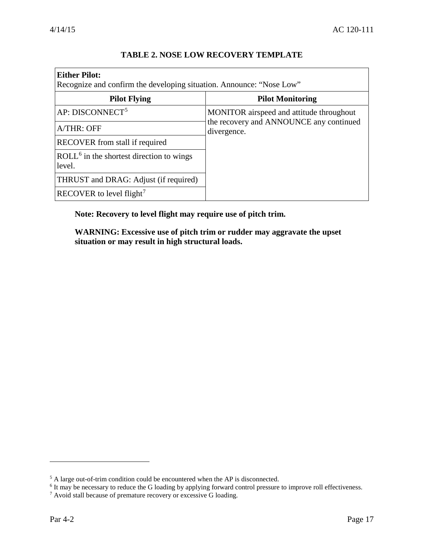<span id="page-19-0"></span>

| <b>Either Pilot:</b><br>Recognize and confirm the developing situation. Announce: "Nose Low" |                                                        |  |
|----------------------------------------------------------------------------------------------|--------------------------------------------------------|--|
| <b>Pilot Flying</b>                                                                          | <b>Pilot Monitoring</b>                                |  |
| AP: DISCONNECT <sup>5</sup>                                                                  | MONITOR airspeed and attitude throughout               |  |
| A/THR: OFF                                                                                   | the recovery and ANNOUNCE any continued<br>divergence. |  |
| RECOVER from stall if required                                                               |                                                        |  |
| $\text{ROLL}^6$ in the shortest direction to wings<br>level.                                 |                                                        |  |
| THRUST and DRAG: Adjust (if required)                                                        |                                                        |  |
| RECOVER to level flight <sup>7</sup>                                                         |                                                        |  |

#### **TABLE 2. NOSE LOW RECOVERY TEMPLATE**

**Note: Recovery to level flight may require use of pitch trim.**

**WARNING: Excessive use of pitch trim or rudder may aggravate the upset situation or may result in high structural loads.** 

<span id="page-19-1"></span> $5$  A large out-of-trim condition could be encountered when the AP is disconnected.

<sup>&</sup>lt;sup>6</sup> It may be necessary to reduce the G loading by applying forward control pressure to improve roll effectiveness.

<span id="page-19-3"></span><span id="page-19-2"></span><sup>7</sup> Avoid stall because of premature recovery or excessive G loading.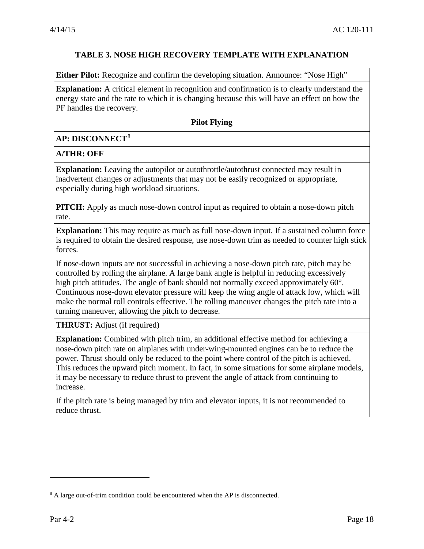#### **TABLE 3. NOSE HIGH RECOVERY TEMPLATE WITH EXPLANATION**

<span id="page-20-0"></span>**Either Pilot:** Recognize and confirm the developing situation. Announce: "Nose High"

**Explanation:** A critical element in recognition and confirmation is to clearly understand the energy state and the rate to which it is changing because this will have an effect on how the PF handles the recovery.

#### **Pilot Flying**

#### **AP: DISCONNECT**[8](#page-20-1)

#### **A/THR: OFF**

**Explanation:** Leaving the autopilot or autothrottle/autothrust connected may result in inadvertent changes or adjustments that may not be easily recognized or appropriate, especially during high workload situations.

**PITCH:** Apply as much nose-down control input as required to obtain a nose-down pitch rate.

**Explanation:** This may require as much as full nose-down input. If a sustained column force is required to obtain the desired response, use nose-down trim as needed to counter high stick forces.

If nose-down inputs are not successful in achieving a nose-down pitch rate, pitch may be controlled by rolling the airplane. A large bank angle is helpful in reducing excessively high pitch attitudes. The angle of bank should not normally exceed approximately 60°. Continuous nose-down elevator pressure will keep the wing angle of attack low, which will make the normal roll controls effective. The rolling maneuver changes the pitch rate into a turning maneuver, allowing the pitch to decrease.

**THRUST:** Adjust (if required)

**Explanation:** Combined with pitch trim, an additional effective method for achieving a nose-down pitch rate on airplanes with under-wing-mounted engines can be to reduce the power. Thrust should only be reduced to the point where control of the pitch is achieved. This reduces the upward pitch moment. In fact, in some situations for some airplane models, it may be necessary to reduce thrust to prevent the angle of attack from continuing to increase.

If the pitch rate is being managed by trim and elevator inputs, it is not recommended to reduce thrust.

<span id="page-20-1"></span><sup>&</sup>lt;sup>8</sup> A large out-of-trim condition could be encountered when the AP is disconnected.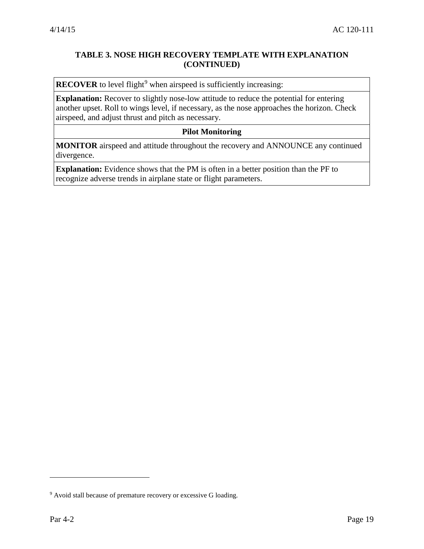### **TABLE 3. NOSE HIGH RECOVERY TEMPLATE WITH EXPLANATION (CONTINUED)**

**RECOVER** to level flight<sup>[9](#page-21-0)</sup> when airspeed is sufficiently increasing:

**Explanation:** Recover to slightly nose-low attitude to reduce the potential for entering another upset. Roll to wings level, if necessary, as the nose approaches the horizon. Check airspeed, and adjust thrust and pitch as necessary.

#### **Pilot Monitoring**

**MONITOR** airspeed and attitude throughout the recovery and ANNOUNCE any continued divergence.

**Explanation:** Evidence shows that the PM is often in a better position than the PF to recognize adverse trends in airplane state or flight parameters.

<span id="page-21-0"></span><sup>&</sup>lt;sup>9</sup> Avoid stall because of premature recovery or excessive G loading.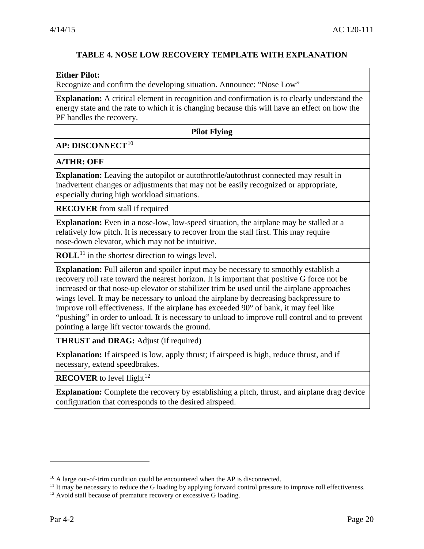### **TABLE 4. NOSE LOW RECOVERY TEMPLATE WITH EXPLANATION**

#### <span id="page-22-0"></span>**Either Pilot:**

Recognize and confirm the developing situation. Announce: "Nose Low"

**Explanation:** A critical element in recognition and confirmation is to clearly understand the energy state and the rate to which it is changing because this will have an effect on how the PF handles the recovery.

#### **Pilot Flying**

#### **AP: DISCONNECT**[10](#page-22-1)

#### **A/THR: OFF**

**Explanation:** Leaving the autopilot or autothrottle/autothrust connected may result in inadvertent changes or adjustments that may not be easily recognized or appropriate, especially during high workload situations.

**RECOVER** from stall if required

**Explanation:** Even in a nose-low, low-speed situation, the airplane may be stalled at a relatively low pitch. It is necessary to recover from the stall first. This may require nose-down elevator, which may not be intuitive.

**ROLL**<sup>[11](#page-22-2)</sup> in the shortest direction to wings level.

**Explanation:** Full aileron and spoiler input may be necessary to smoothly establish a recovery roll rate toward the nearest horizon. It is important that positive G force not be increased or that nose-up elevator or stabilizer trim be used until the airplane approaches wings level. It may be necessary to unload the airplane by decreasing backpressure to improve roll effectiveness. If the airplane has exceeded 90° of bank, it may feel like "pushing" in order to unload. It is necessary to unload to improve roll control and to prevent pointing a large lift vector towards the ground.

**THRUST and DRAG:** Adjust (if required)

**Explanation:** If airspeed is low, apply thrust; if airspeed is high, reduce thrust, and if necessary, extend speedbrakes.

**RECOVER** to level flight<sup>[12](#page-22-3)</sup>

**Explanation:** Complete the recovery by establishing a pitch, thrust, and airplane drag device configuration that corresponds to the desired airspeed.

<span id="page-22-1"></span><sup>&</sup>lt;sup>10</sup> A large out-of-trim condition could be encountered when the AP is disconnected.

<span id="page-22-2"></span> $<sup>11</sup>$  It may be necessary to reduce the G loading by applying forward control pressure to improve roll effectiveness.</sup>

<span id="page-22-3"></span> $12$  Avoid stall because of premature recovery or excessive G loading.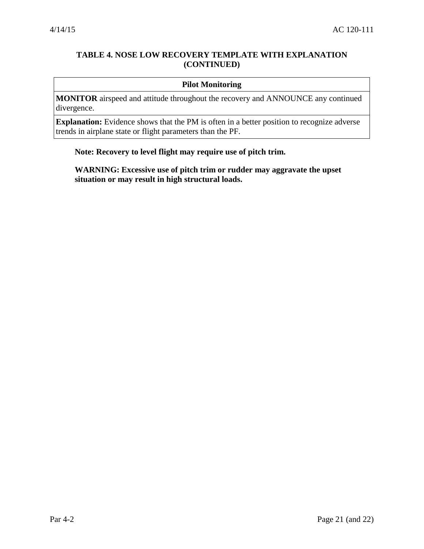### **TABLE 4. NOSE LOW RECOVERY TEMPLATE WITH EXPLANATION (CONTINUED)**

#### **Pilot Monitoring**

**MONITOR** airspeed and attitude throughout the recovery and ANNOUNCE any continued divergence.

**Explanation:** Evidence shows that the PM is often in a better position to recognize adverse trends in airplane state or flight parameters than the PF.

#### **Note: Recovery to level flight may require use of pitch trim.**

**WARNING: Excessive use of pitch trim or rudder may aggravate the upset situation or may result in high structural loads.**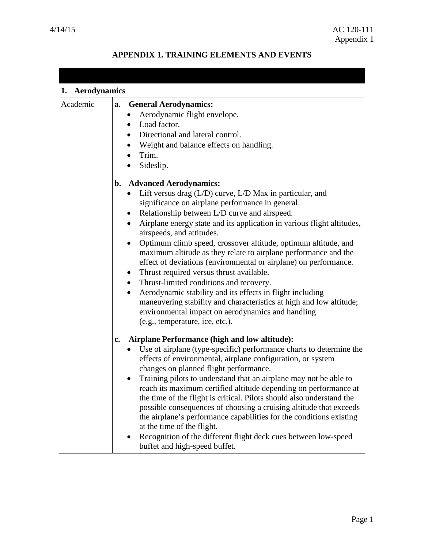# **APPENDIX 1. TRAINING ELEMENTS AND EVENTS**

<span id="page-24-0"></span>

| 1. Aerodynamics |                                                                                                                                                                                                                                                                                                                                                                                                                                                                                                                                                                                                                                                                                                                                                                                                                                                                                                   |  |  |
|-----------------|---------------------------------------------------------------------------------------------------------------------------------------------------------------------------------------------------------------------------------------------------------------------------------------------------------------------------------------------------------------------------------------------------------------------------------------------------------------------------------------------------------------------------------------------------------------------------------------------------------------------------------------------------------------------------------------------------------------------------------------------------------------------------------------------------------------------------------------------------------------------------------------------------|--|--|
| Academic        | a. General Aerodynamics:<br>Aerodynamic flight envelope.<br>Load factor.<br>Directional and lateral control.<br>$\bullet$<br>• Weight and balance effects on handling.<br>Trim.                                                                                                                                                                                                                                                                                                                                                                                                                                                                                                                                                                                                                                                                                                                   |  |  |
|                 | Sideslip.                                                                                                                                                                                                                                                                                                                                                                                                                                                                                                                                                                                                                                                                                                                                                                                                                                                                                         |  |  |
|                 | b. Advanced Aerodynamics:<br>Lift versus drag $(L/D)$ curve, $L/D$ Max in particular, and<br>significance on airplane performance in general.<br>Relationship between L/D curve and airspeed.<br>Airplane energy state and its application in various flight altitudes,<br>$\bullet$<br>airspeeds, and attitudes.<br>Optimum climb speed, crossover altitude, optimum altitude, and<br>$\bullet$<br>maximum altitude as they relate to airplane performance and the<br>effect of deviations (environmental or airplane) on performance.<br>Thrust required versus thrust available.<br>$\bullet$<br>Thrust-limited conditions and recovery.<br>$\bullet$<br>Aerodynamic stability and its effects in flight including<br>$\bullet$<br>maneuvering stability and characteristics at high and low altitude;<br>environmental impact on aerodynamics and handling<br>(e.g., temperature, ice, etc.). |  |  |
|                 | Airplane Performance (high and low altitude):<br>$\mathbf{c}$ .<br>Use of airplane (type-specific) performance charts to determine the<br>effects of environmental, airplane configuration, or system<br>changes on planned flight performance.<br>Training pilots to understand that an airplane may not be able to<br>reach its maximum certified altitude depending on performance at<br>the time of the flight is critical. Pilots should also understand the<br>possible consequences of choosing a cruising altitude that exceeds<br>the airplane's performance capabilities for the conditions existing<br>at the time of the flight.<br>Recognition of the different flight deck cues between low-speed<br>buffet and high-speed buffet.                                                                                                                                                  |  |  |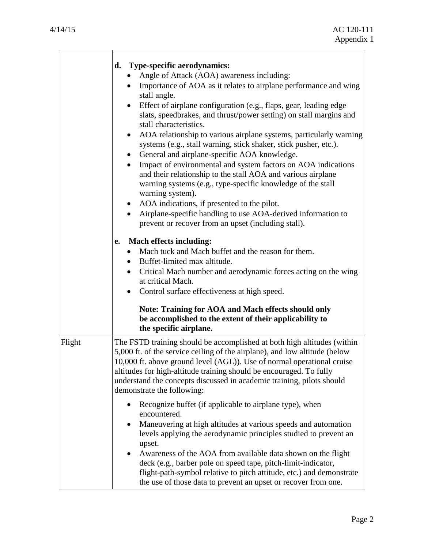|        | d. Type-specific aerodynamics:<br>Angle of Attack (AOA) awareness including:<br>Importance of AOA as it relates to airplane performance and wing<br>stall angle.<br>Effect of airplane configuration (e.g., flaps, gear, leading edge<br>slats, speedbrakes, and thrust/power setting) on stall margins and<br>stall characteristics.<br>AOA relationship to various airplane systems, particularly warning<br>$\bullet$<br>systems (e.g., stall warning, stick shaker, stick pusher, etc.).<br>General and airplane-specific AOA knowledge.<br>$\bullet$<br>Impact of environmental and system factors on AOA indications<br>and their relationship to the stall AOA and various airplane<br>warning systems (e.g., type-specific knowledge of the stall<br>warning system).<br>AOA indications, if presented to the pilot.<br>$\bullet$<br>Airplane-specific handling to use AOA-derived information to<br>prevent or recover from an upset (including stall).<br><b>Mach effects including:</b><br>e.<br>Mach tuck and Mach buffet and the reason for them.<br>Buffet-limited max altitude.<br>Critical Mach number and aerodynamic forces acting on the wing<br>$\bullet$<br>at critical Mach.<br>Control surface effectiveness at high speed.<br>$\bullet$<br><b>Note: Training for AOA and Mach effects should only</b><br>be accomplished to the extent of their applicability to |
|--------|------------------------------------------------------------------------------------------------------------------------------------------------------------------------------------------------------------------------------------------------------------------------------------------------------------------------------------------------------------------------------------------------------------------------------------------------------------------------------------------------------------------------------------------------------------------------------------------------------------------------------------------------------------------------------------------------------------------------------------------------------------------------------------------------------------------------------------------------------------------------------------------------------------------------------------------------------------------------------------------------------------------------------------------------------------------------------------------------------------------------------------------------------------------------------------------------------------------------------------------------------------------------------------------------------------------------------------------------------------------------------------------|
| Flight | the specific airplane.<br>The FSTD training should be accomplished at both high altitudes (within<br>5,000 ft. of the service ceiling of the airplane), and low altitude (below<br>10,000 ft. above ground level (AGL)). Use of normal operational cruise<br>altitudes for high-altitude training should be encouraged. To fully<br>understand the concepts discussed in academic training, pilots should<br>demonstrate the following:                                                                                                                                                                                                                                                                                                                                                                                                                                                                                                                                                                                                                                                                                                                                                                                                                                                                                                                                                  |
|        | Recognize buffet (if applicable to airplane type), when<br>encountered.<br>Maneuvering at high altitudes at various speeds and automation<br>levels applying the aerodynamic principles studied to prevent an<br>upset.<br>Awareness of the AOA from available data shown on the flight<br>deck (e.g., barber pole on speed tape, pitch-limit-indicator,<br>flight-path-symbol relative to pitch attitude, etc.) and demonstrate<br>the use of those data to prevent an upset or recover from one.                                                                                                                                                                                                                                                                                                                                                                                                                                                                                                                                                                                                                                                                                                                                                                                                                                                                                       |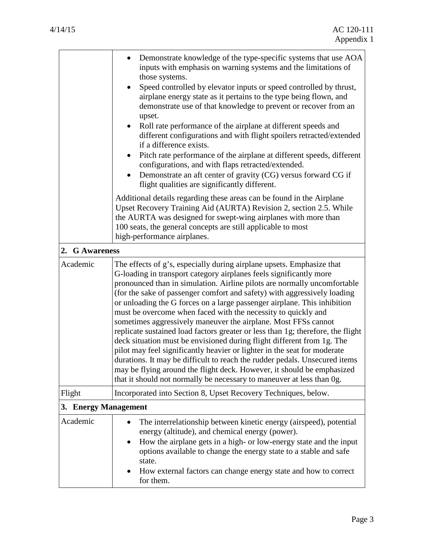| 2. G Awareness       | Demonstrate knowledge of the type-specific systems that use AOA<br>inputs with emphasis on warning systems and the limitations of<br>those systems.<br>Speed controlled by elevator inputs or speed controlled by thrust,<br>airplane energy state as it pertains to the type being flown, and<br>demonstrate use of that knowledge to prevent or recover from an<br>upset.<br>Roll rate performance of the airplane at different speeds and<br>different configurations and with flight spoilers retracted/extended<br>if a difference exists.<br>Pitch rate performance of the airplane at different speeds, different<br>configurations, and with flaps retracted/extended.<br>Demonstrate an aft center of gravity (CG) versus forward CG if<br>flight qualities are significantly different.<br>Additional details regarding these areas can be found in the Airplane<br>Upset Recovery Training Aid (AURTA) Revision 2, section 2.5. While<br>the AURTA was designed for swept-wing airplanes with more than<br>100 seats, the general concepts are still applicable to most<br>high-performance airplanes. |  |
|----------------------|-------------------------------------------------------------------------------------------------------------------------------------------------------------------------------------------------------------------------------------------------------------------------------------------------------------------------------------------------------------------------------------------------------------------------------------------------------------------------------------------------------------------------------------------------------------------------------------------------------------------------------------------------------------------------------------------------------------------------------------------------------------------------------------------------------------------------------------------------------------------------------------------------------------------------------------------------------------------------------------------------------------------------------------------------------------------------------------------------------------------|--|
|                      |                                                                                                                                                                                                                                                                                                                                                                                                                                                                                                                                                                                                                                                                                                                                                                                                                                                                                                                                                                                                                                                                                                                   |  |
| Academic             | The effects of g's, especially during airplane upsets. Emphasize that<br>G-loading in transport category airplanes feels significantly more<br>pronounced than in simulation. Airline pilots are normally uncomfortable<br>(for the sake of passenger comfort and safety) with aggressively loading<br>or unloading the G forces on a large passenger airplane. This inhibition<br>must be overcome when faced with the necessity to quickly and<br>sometimes aggressively maneuver the airplane. Most FFSs cannot<br>replicate sustained load factors greater or less than 1g; therefore, the flight<br>deck situation must be envisioned during flight different from 1g. The<br>pilot may feel significantly heavier or lighter in the seat for moderate<br>durations. It may be difficult to reach the rudder pedals. Unsecured items<br>may be flying around the flight deck. However, it should be emphasized<br>that it should not normally be necessary to maneuver at less than 0g.                                                                                                                      |  |
| Flight               | Incorporated into Section 8, Upset Recovery Techniques, below.                                                                                                                                                                                                                                                                                                                                                                                                                                                                                                                                                                                                                                                                                                                                                                                                                                                                                                                                                                                                                                                    |  |
| 3. Energy Management |                                                                                                                                                                                                                                                                                                                                                                                                                                                                                                                                                                                                                                                                                                                                                                                                                                                                                                                                                                                                                                                                                                                   |  |
| Academic             | The interrelationship between kinetic energy (airspeed), potential<br>energy (altitude), and chemical energy (power).<br>How the airplane gets in a high- or low-energy state and the input<br>options available to change the energy state to a stable and safe<br>state.<br>How external factors can change energy state and how to correct<br>for them.                                                                                                                                                                                                                                                                                                                                                                                                                                                                                                                                                                                                                                                                                                                                                        |  |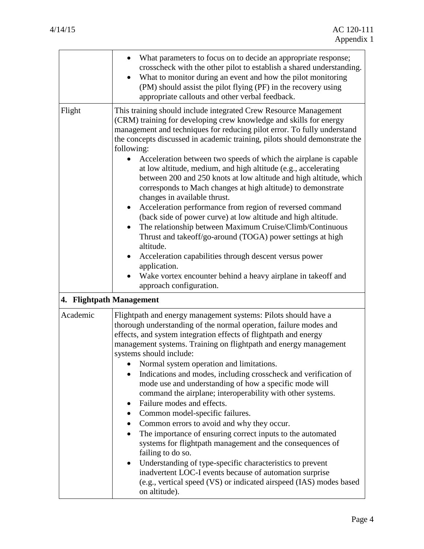|                          | What parameters to focus on to decide an appropriate response;<br>crosscheck with the other pilot to establish a shared understanding.<br>What to monitor during an event and how the pilot monitoring<br>(PM) should assist the pilot flying (PF) in the recovery using<br>appropriate callouts and other verbal feedback.                                                                                                                                                                                                                                                                                                                                                                                                                                                                                                                                                                                                                                                                                                                                                     |
|--------------------------|---------------------------------------------------------------------------------------------------------------------------------------------------------------------------------------------------------------------------------------------------------------------------------------------------------------------------------------------------------------------------------------------------------------------------------------------------------------------------------------------------------------------------------------------------------------------------------------------------------------------------------------------------------------------------------------------------------------------------------------------------------------------------------------------------------------------------------------------------------------------------------------------------------------------------------------------------------------------------------------------------------------------------------------------------------------------------------|
| Flight                   | This training should include integrated Crew Resource Management<br>(CRM) training for developing crew knowledge and skills for energy<br>management and techniques for reducing pilot error. To fully understand<br>the concepts discussed in academic training, pilots should demonstrate the<br>following:<br>Acceleration between two speeds of which the airplane is capable<br>at low altitude, medium, and high altitude (e.g., accelerating<br>between 200 and 250 knots at low altitude and high altitude, which<br>corresponds to Mach changes at high altitude) to demonstrate<br>changes in available thrust.<br>Acceleration performance from region of reversed command<br>$\bullet$<br>(back side of power curve) at low altitude and high altitude.<br>The relationship between Maximum Cruise/Climb/Continuous<br>Thrust and takeoff/go-around (TOGA) power settings at high<br>altitude.<br>Acceleration capabilities through descent versus power<br>application.<br>Wake vortex encounter behind a heavy airplane in takeoff and<br>approach configuration. |
| 4. Flightpath Management |                                                                                                                                                                                                                                                                                                                                                                                                                                                                                                                                                                                                                                                                                                                                                                                                                                                                                                                                                                                                                                                                                 |
| Academic                 | Flightpath and energy management systems: Pilots should have a<br>thorough understanding of the normal operation, failure modes and<br>effects, and system integration effects of flightpath and energy<br>management systems. Training on flightpath and energy management<br>systems should include:<br>Normal system operation and limitations.<br>Indications and modes, including crosscheck and verification of<br>$\bullet$<br>mode use and understanding of how a specific mode will<br>command the airplane; interoperability with other systems.<br>Failure modes and effects.<br>$\bullet$<br>Common model-specific failures.<br>Common errors to avoid and why they occur.<br>$\bullet$<br>The importance of ensuring correct inputs to the automated<br>systems for flightpath management and the consequences of<br>failing to do so.<br>Understanding of type-specific characteristics to prevent<br>inadvertent LOC-I events because of automation surprise<br>(e.g., vertical speed (VS) or indicated airspeed (IAS) modes based<br>on altitude).              |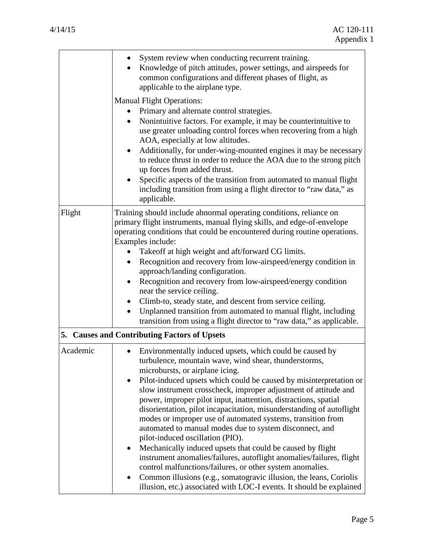|          | System review when conducting recurrent training.<br>Knowledge of pitch attitudes, power settings, and airspeeds for<br>common configurations and different phases of flight, as<br>applicable to the airplane type.                                                                                                                                                                                                                                                                                                                                                                                                                                                                                                                                                                                                                                                                                                                                         |
|----------|--------------------------------------------------------------------------------------------------------------------------------------------------------------------------------------------------------------------------------------------------------------------------------------------------------------------------------------------------------------------------------------------------------------------------------------------------------------------------------------------------------------------------------------------------------------------------------------------------------------------------------------------------------------------------------------------------------------------------------------------------------------------------------------------------------------------------------------------------------------------------------------------------------------------------------------------------------------|
|          | <b>Manual Flight Operations:</b><br>Primary and alternate control strategies.<br>Nonintuitive factors. For example, it may be counterintuitive to<br>$\bullet$<br>use greater unloading control forces when recovering from a high<br>AOA, especially at low altitudes.<br>Additionally, for under-wing-mounted engines it may be necessary<br>to reduce thrust in order to reduce the AOA due to the strong pitch<br>up forces from added thrust.<br>Specific aspects of the transition from automated to manual flight<br>٠<br>including transition from using a flight director to "raw data," as<br>applicable.                                                                                                                                                                                                                                                                                                                                          |
| Flight   | Training should include abnormal operating conditions, reliance on<br>primary flight instruments, manual flying skills, and edge-of-envelope<br>operating conditions that could be encountered during routine operations.<br>Examples include:<br>Takeoff at high weight and aft/forward CG limits.<br>Recognition and recovery from low-airspeed/energy condition in<br>$\bullet$<br>approach/landing configuration.<br>Recognition and recovery from low-airspeed/energy condition<br>near the service ceiling.<br>Climb-to, steady state, and descent from service ceiling.<br>Unplanned transition from automated to manual flight, including<br>$\bullet$<br>transition from using a flight director to "raw data," as applicable.<br>5. Causes and Contributing Factors of Upsets                                                                                                                                                                      |
| Academic | Environmentally induced upsets, which could be caused by<br>turbulence, mountain wave, wind shear, thunderstorms,<br>microbursts, or airplane icing.<br>Pilot-induced upsets which could be caused by misinterpretation or<br>slow instrument crosscheck, improper adjustment of attitude and<br>power, improper pilot input, inattention, distractions, spatial<br>disorientation, pilot incapacitation, misunderstanding of autoflight<br>modes or improper use of automated systems, transition from<br>automated to manual modes due to system disconnect, and<br>pilot-induced oscillation (PIO).<br>Mechanically induced upsets that could be caused by flight<br>instrument anomalies/failures, autoflight anomalies/failures, flight<br>control malfunctions/failures, or other system anomalies.<br>Common illusions (e.g., somatogravic illusion, the leans, Coriolis<br>٠<br>illusion, etc.) associated with LOC-I events. It should be explained |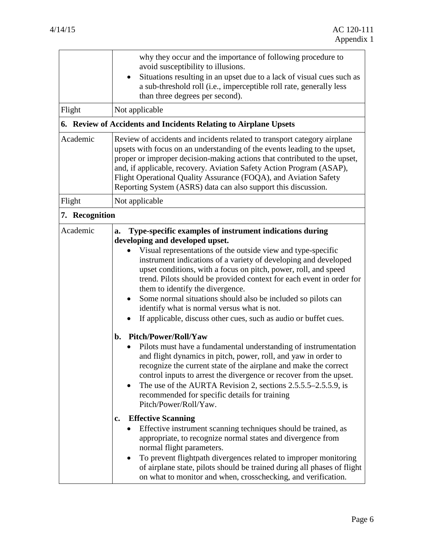|                | why they occur and the importance of following procedure to<br>avoid susceptibility to illusions.                                                                                                                                                                                                                                                                                                                                                                                                                                                                                                                                                                                                                                                                                                                                                                                       |  |
|----------------|-----------------------------------------------------------------------------------------------------------------------------------------------------------------------------------------------------------------------------------------------------------------------------------------------------------------------------------------------------------------------------------------------------------------------------------------------------------------------------------------------------------------------------------------------------------------------------------------------------------------------------------------------------------------------------------------------------------------------------------------------------------------------------------------------------------------------------------------------------------------------------------------|--|
|                | Situations resulting in an upset due to a lack of visual cues such as<br>٠<br>a sub-threshold roll (i.e., imperceptible roll rate, generally less<br>than three degrees per second).                                                                                                                                                                                                                                                                                                                                                                                                                                                                                                                                                                                                                                                                                                    |  |
| Flight         | Not applicable                                                                                                                                                                                                                                                                                                                                                                                                                                                                                                                                                                                                                                                                                                                                                                                                                                                                          |  |
|                | 6. Review of Accidents and Incidents Relating to Airplane Upsets                                                                                                                                                                                                                                                                                                                                                                                                                                                                                                                                                                                                                                                                                                                                                                                                                        |  |
| Academic       | Review of accidents and incidents related to transport category airplane<br>upsets with focus on an understanding of the events leading to the upset,<br>proper or improper decision-making actions that contributed to the upset,<br>and, if applicable, recovery. Aviation Safety Action Program (ASAP),<br>Flight Operational Quality Assurance (FOQA), and Aviation Safety<br>Reporting System (ASRS) data can also support this discussion.                                                                                                                                                                                                                                                                                                                                                                                                                                        |  |
| Flight         | Not applicable                                                                                                                                                                                                                                                                                                                                                                                                                                                                                                                                                                                                                                                                                                                                                                                                                                                                          |  |
| 7. Recognition |                                                                                                                                                                                                                                                                                                                                                                                                                                                                                                                                                                                                                                                                                                                                                                                                                                                                                         |  |
| Academic       | Type-specific examples of instrument indications during<br>a.<br>developing and developed upset.<br>Visual representations of the outside view and type-specific<br>instrument indications of a variety of developing and developed<br>upset conditions, with a focus on pitch, power, roll, and speed<br>trend. Pilots should be provided context for each event in order for<br>them to identify the divergence.<br>Some normal situations should also be included so pilots can<br>identify what is normal versus what is not.<br>If applicable, discuss other cues, such as audio or buffet cues.                                                                                                                                                                                                                                                                                   |  |
|                | <b>Pitch/Power/Roll/Yaw</b><br>b.<br>Pilots must have a fundamental understanding of instrumentation<br>and flight dynamics in pitch, power, roll, and yaw in order to<br>recognize the current state of the airplane and make the correct<br>control inputs to arrest the divergence or recover from the upset.<br>The use of the AURTA Revision 2, sections 2.5.5.5–2.5.5.9, is<br>recommended for specific details for training<br>Pitch/Power/Roll/Yaw.<br><b>Effective Scanning</b><br>$c_{\bullet}$<br>Effective instrument scanning techniques should be trained, as<br>appropriate, to recognize normal states and divergence from<br>normal flight parameters.<br>To prevent flightpath divergences related to improper monitoring<br>of airplane state, pilots should be trained during all phases of flight<br>on what to monitor and when, crosschecking, and verification. |  |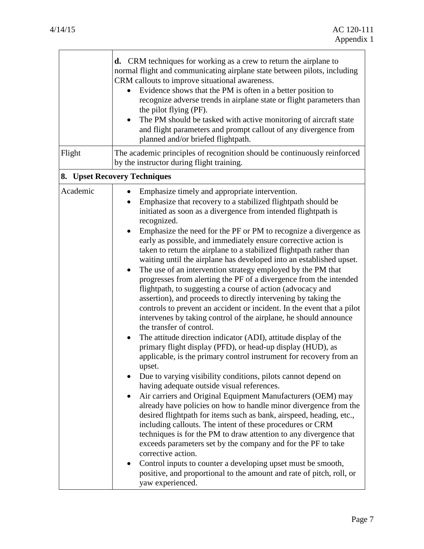| Flight   | <b>d.</b> CRM techniques for working as a crew to return the airplane to<br>normal flight and communicating airplane state between pilots, including<br>CRM callouts to improve situational awareness.<br>Evidence shows that the PM is often in a better position to<br>recognize adverse trends in airplane state or flight parameters than<br>the pilot flying (PF).<br>The PM should be tasked with active monitoring of aircraft state<br>and flight parameters and prompt callout of any divergence from<br>planned and/or briefed flightpath.<br>The academic principles of recognition should be continuously reinforced<br>by the instructor during flight training.                                                                                                                                                                                                                                                                                                                                                                                                                                                                                                                                                                                                                                                                                                                                                                                                                                                                                                                                                                                                                                                                                                                                                                                                            |
|----------|------------------------------------------------------------------------------------------------------------------------------------------------------------------------------------------------------------------------------------------------------------------------------------------------------------------------------------------------------------------------------------------------------------------------------------------------------------------------------------------------------------------------------------------------------------------------------------------------------------------------------------------------------------------------------------------------------------------------------------------------------------------------------------------------------------------------------------------------------------------------------------------------------------------------------------------------------------------------------------------------------------------------------------------------------------------------------------------------------------------------------------------------------------------------------------------------------------------------------------------------------------------------------------------------------------------------------------------------------------------------------------------------------------------------------------------------------------------------------------------------------------------------------------------------------------------------------------------------------------------------------------------------------------------------------------------------------------------------------------------------------------------------------------------------------------------------------------------------------------------------------------------|
|          | 8. Upset Recovery Techniques                                                                                                                                                                                                                                                                                                                                                                                                                                                                                                                                                                                                                                                                                                                                                                                                                                                                                                                                                                                                                                                                                                                                                                                                                                                                                                                                                                                                                                                                                                                                                                                                                                                                                                                                                                                                                                                             |
| Academic | Emphasize timely and appropriate intervention.<br>Emphasize that recovery to a stabilized flightpath should be<br>initiated as soon as a divergence from intended flightpath is<br>recognized.<br>Emphasize the need for the PF or PM to recognize a divergence as<br>early as possible, and immediately ensure corrective action is<br>taken to return the airplane to a stabilized flightpath rather than<br>waiting until the airplane has developed into an established upset.<br>The use of an intervention strategy employed by the PM that<br>$\bullet$<br>progresses from alerting the PF of a divergence from the intended<br>flightpath, to suggesting a course of action (advocacy and<br>assertion), and proceeds to directly intervening by taking the<br>controls to prevent an accident or incident. In the event that a pilot<br>intervenes by taking control of the airplane, he should announce<br>the transfer of control.<br>The attitude direction indicator (ADI), attitude display of the<br>$\bullet$<br>primary flight display (PFD), or head-up display (HUD), as<br>applicable, is the primary control instrument for recovery from an<br>upset.<br>Due to varying visibility conditions, pilots cannot depend on<br>having adequate outside visual references.<br>Air carriers and Original Equipment Manufacturers (OEM) may<br>already have policies on how to handle minor divergence from the<br>desired flightpath for items such as bank, airspeed, heading, etc.,<br>including callouts. The intent of these procedures or CRM<br>techniques is for the PM to draw attention to any divergence that<br>exceeds parameters set by the company and for the PF to take<br>corrective action.<br>Control inputs to counter a developing upset must be smooth,<br>positive, and proportional to the amount and rate of pitch, roll, or<br>yaw experienced. |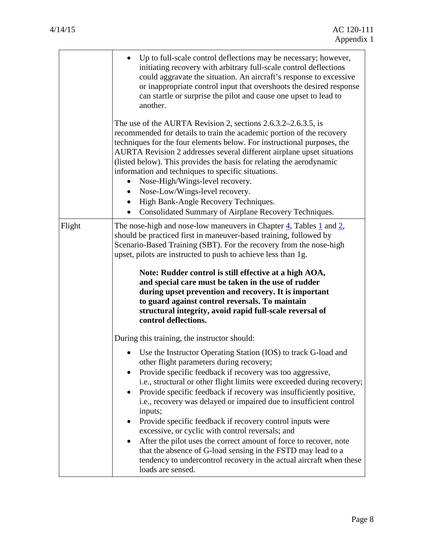|        | Up to full-scale control deflections may be necessary; however,<br>initiating recovery with arbitrary full-scale control deflections<br>could aggravate the situation. An aircraft's response to excessive<br>or inappropriate control input that overshoots the desired response<br>can startle or surprise the pilot and cause one upset to lead to<br>another.                                                                                                                                                                                                                                                                                                                                                                                                                                          |  |  |
|--------|------------------------------------------------------------------------------------------------------------------------------------------------------------------------------------------------------------------------------------------------------------------------------------------------------------------------------------------------------------------------------------------------------------------------------------------------------------------------------------------------------------------------------------------------------------------------------------------------------------------------------------------------------------------------------------------------------------------------------------------------------------------------------------------------------------|--|--|
|        | The use of the AURTA Revision 2, sections $2.6.3.2 - 2.6.3.5$ , is<br>recommended for details to train the academic portion of the recovery<br>techniques for the four elements below. For instructional purposes, the<br>AURTA Revision 2 addresses several different airplane upset situations<br>(listed below). This provides the basis for relating the aerodynamic<br>information and techniques to specific situations.<br>Nose-High/Wings-level recovery.<br>Nose-Low/Wings-level recovery.<br>High Bank-Angle Recovery Techniques.<br>Consolidated Summary of Airplane Recovery Techniques.                                                                                                                                                                                                       |  |  |
| Flight | The nose-high and nose-low maneuvers in Chapter 4, Tables 1 and 2,<br>should be practiced first in maneuver-based training, followed by<br>Scenario-Based Training (SBT). For the recovery from the nose-high<br>upset, pilots are instructed to push to achieve less than 1g.<br>Note: Rudder control is still effective at a high AOA,<br>and special care must be taken in the use of rudder<br>during upset prevention and recovery. It is important<br>to guard against control reversals. To maintain<br>structural integrity, avoid rapid full-scale reversal of<br>control deflections.                                                                                                                                                                                                            |  |  |
|        | During this training, the instructor should:<br>Use the Instructor Operating Station (IOS) to track G-load and<br>other flight parameters during recovery;<br>Provide specific feedback if recovery was too aggressive,<br>i.e., structural or other flight limits were exceeded during recovery;<br>Provide specific feedback if recovery was insufficiently positive,<br>i.e., recovery was delayed or impaired due to insufficient control<br>inputs;<br>Provide specific feedback if recovery control inputs were<br>excessive, or cyclic with control reversals; and<br>After the pilot uses the correct amount of force to recover, note<br>that the absence of G-load sensing in the FSTD may lead to a<br>tendency to undercontrol recovery in the actual aircraft when these<br>loads are sensed. |  |  |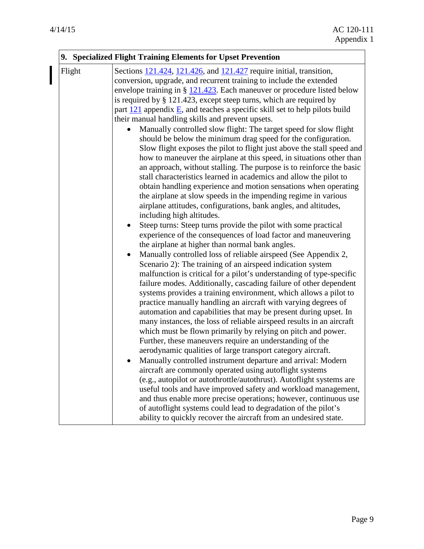I

7

|        | 9. Specialized Flight Training Elements for Upset Prevention                                                                                                                                                                                                                                                                                                                                                                                                                                                                                                                                                                                                                                                                                                                                                                                                                                                                                                                                                                                                                                                                                                                                                                                                                                                                                                                                                                                                                                                                                                                                                                                                                                                                                                                                                                                                                                                                                                                                                                                                                                                                                                                                                                                                                                                                                                                                                                                                                                                                                                            |
|--------|-------------------------------------------------------------------------------------------------------------------------------------------------------------------------------------------------------------------------------------------------------------------------------------------------------------------------------------------------------------------------------------------------------------------------------------------------------------------------------------------------------------------------------------------------------------------------------------------------------------------------------------------------------------------------------------------------------------------------------------------------------------------------------------------------------------------------------------------------------------------------------------------------------------------------------------------------------------------------------------------------------------------------------------------------------------------------------------------------------------------------------------------------------------------------------------------------------------------------------------------------------------------------------------------------------------------------------------------------------------------------------------------------------------------------------------------------------------------------------------------------------------------------------------------------------------------------------------------------------------------------------------------------------------------------------------------------------------------------------------------------------------------------------------------------------------------------------------------------------------------------------------------------------------------------------------------------------------------------------------------------------------------------------------------------------------------------------------------------------------------------------------------------------------------------------------------------------------------------------------------------------------------------------------------------------------------------------------------------------------------------------------------------------------------------------------------------------------------------------------------------------------------------------------------------------------------------|
| Flight | Sections $121.424$ , $121.426$ , and $121.427$ require initial, transition,<br>conversion, upgrade, and recurrent training to include the extended<br>envelope training in $\S$ 121.423. Each maneuver or procedure listed below<br>is required by $\S$ 121.423, except steep turns, which are required by<br>part $121$ appendix $E$ , and teaches a specific skill set to help pilots build<br>their manual handling skills and prevent upsets.<br>Manually controlled slow flight: The target speed for slow flight<br>should be below the minimum drag speed for the configuration.<br>Slow flight exposes the pilot to flight just above the stall speed and<br>how to maneuver the airplane at this speed, in situations other than<br>an approach, without stalling. The purpose is to reinforce the basic<br>stall characteristics learned in academics and allow the pilot to<br>obtain handling experience and motion sensations when operating<br>the airplane at slow speeds in the impending regime in various<br>airplane attitudes, configurations, bank angles, and altitudes,<br>including high altitudes.<br>Steep turns: Steep turns provide the pilot with some practical<br>experience of the consequences of load factor and maneuvering<br>the airplane at higher than normal bank angles.<br>Manually controlled loss of reliable airspeed (See Appendix 2,<br>$\bullet$<br>Scenario 2): The training of an airspeed indication system<br>malfunction is critical for a pilot's understanding of type-specific<br>failure modes. Additionally, cascading failure of other dependent<br>systems provides a training environment, which allows a pilot to<br>practice manually handling an aircraft with varying degrees of<br>automation and capabilities that may be present during upset. In<br>many instances, the loss of reliable airspeed results in an aircraft<br>which must be flown primarily by relying on pitch and power.<br>Further, these maneuvers require an understanding of the<br>aerodynamic qualities of large transport category aircraft.<br>Manually controlled instrument departure and arrival: Modern<br>aircraft are commonly operated using autoflight systems<br>(e.g., autopilot or autothrottle/autothrust). Autoflight systems are<br>useful tools and have improved safety and workload management,<br>and thus enable more precise operations; however, continuous use<br>of autoflight systems could lead to degradation of the pilot's<br>ability to quickly recover the aircraft from an undesired state. |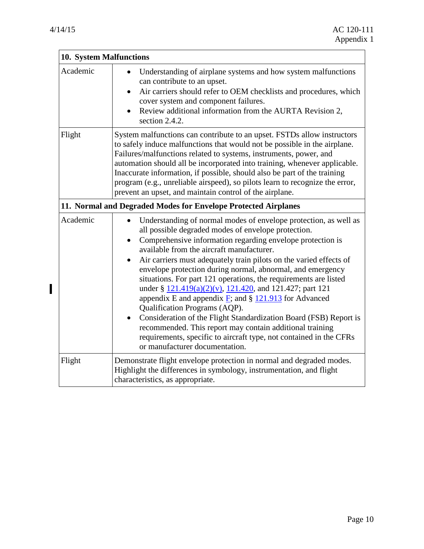$\mathbf{I}$ 

| 10. System Malfunctions |                                                                                                                                                                                                                                                                                                                                                                                                                                                                                                                                                                                                                                                                                                                                                                                                                                                                                    |  |  |
|-------------------------|------------------------------------------------------------------------------------------------------------------------------------------------------------------------------------------------------------------------------------------------------------------------------------------------------------------------------------------------------------------------------------------------------------------------------------------------------------------------------------------------------------------------------------------------------------------------------------------------------------------------------------------------------------------------------------------------------------------------------------------------------------------------------------------------------------------------------------------------------------------------------------|--|--|
| Academic                | Understanding of airplane systems and how system malfunctions<br>can contribute to an upset.<br>Air carriers should refer to OEM checklists and procedures, which<br>cover system and component failures.<br>Review additional information from the AURTA Revision 2,<br>section 2.4.2.                                                                                                                                                                                                                                                                                                                                                                                                                                                                                                                                                                                            |  |  |
| Flight                  | System malfunctions can contribute to an upset. FSTDs allow instructors<br>to safely induce malfunctions that would not be possible in the airplane.<br>Failures/malfunctions related to systems, instruments, power, and<br>automation should all be incorporated into training, whenever applicable.<br>Inaccurate information, if possible, should also be part of the training<br>program (e.g., unreliable airspeed), so pilots learn to recognize the error,<br>prevent an upset, and maintain control of the airplane.                                                                                                                                                                                                                                                                                                                                                      |  |  |
|                         | 11. Normal and Degraded Modes for Envelope Protected Airplanes                                                                                                                                                                                                                                                                                                                                                                                                                                                                                                                                                                                                                                                                                                                                                                                                                     |  |  |
| Academic                | Understanding of normal modes of envelope protection, as well as<br>all possible degraded modes of envelope protection.<br>Comprehensive information regarding envelope protection is<br>available from the aircraft manufacturer.<br>Air carriers must adequately train pilots on the varied effects of<br>$\bullet$<br>envelope protection during normal, abnormal, and emergency<br>situations. For part 121 operations, the requirements are listed<br>under § 121.419(a)(2)(v), 121.420, and 121.427; part 121<br>appendix E and appendix $\underline{F}$ ; and § 121.913 for Advanced<br>Qualification Programs (AQP).<br>Consideration of the Flight Standardization Board (FSB) Report is<br>$\bullet$<br>recommended. This report may contain additional training<br>requirements, specific to aircraft type, not contained in the CFRs<br>or manufacturer documentation. |  |  |
| Flight                  | Demonstrate flight envelope protection in normal and degraded modes.<br>Highlight the differences in symbology, instrumentation, and flight<br>characteristics, as appropriate.                                                                                                                                                                                                                                                                                                                                                                                                                                                                                                                                                                                                                                                                                                    |  |  |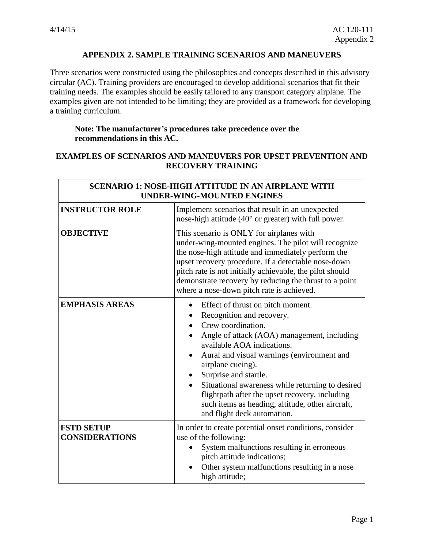$\Gamma$ 

Ŧ.

### **APPENDIX 2. SAMPLE TRAINING SCENARIOS AND MANEUVERS**

<span id="page-34-0"></span>Three scenarios were constructed using the philosophies and concepts described in this advisory circular (AC). Training providers are encouraged to develop additional scenarios that fit their training needs. The examples should be easily tailored to any transport category airplane. The examples given are not intended to be limiting; they are provided as a framework for developing a training curriculum.

## **Note: The manufacturer's procedures take precedence over the recommendations in this AC.**

#### **EXAMPLES OF SCENARIOS AND MANEUVERS FOR UPSET PREVENTION AND RECOVERY TRAINING**

| <b>SCENARIO 1: NOSE-HIGH ATTITUDE IN AN AIRPLANE WITH</b><br><b>UNDER-WING-MOUNTED ENGINES</b> |                                                                                                                                                                                                                                                                                                                                                                                                                                                                     |
|------------------------------------------------------------------------------------------------|---------------------------------------------------------------------------------------------------------------------------------------------------------------------------------------------------------------------------------------------------------------------------------------------------------------------------------------------------------------------------------------------------------------------------------------------------------------------|
| <b>INSTRUCTOR ROLE</b>                                                                         | Implement scenarios that result in an unexpected<br>nose-high attitude (40° or greater) with full power.                                                                                                                                                                                                                                                                                                                                                            |
| <b>OBJECTIVE</b>                                                                               | This scenario is ONLY for airplanes with<br>under-wing-mounted engines. The pilot will recognize<br>the nose-high attitude and immediately perform the<br>upset recovery procedure. If a detectable nose-down<br>pitch rate is not initially achievable, the pilot should<br>demonstrate recovery by reducing the thrust to a point<br>where a nose-down pitch rate is achieved.                                                                                    |
| <b>EMPHASIS AREAS</b>                                                                          | Effect of thrust on pitch moment.<br>$\bullet$<br>Recognition and recovery.<br>Crew coordination.<br>Angle of attack (AOA) management, including<br>available AOA indications.<br>Aural and visual warnings (environment and<br>airplane cueing).<br>Surprise and startle.<br>Situational awareness while returning to desired<br>flightpath after the upset recovery, including<br>such items as heading, altitude, other aircraft,<br>and flight deck automation. |
| <b>FSTD SETUP</b><br><b>CONSIDERATIONS</b>                                                     | In order to create potential onset conditions, consider<br>use of the following:<br>System malfunctions resulting in erroneous<br>pitch attitude indications;<br>Other system malfunctions resulting in a nose<br>high attitude;                                                                                                                                                                                                                                    |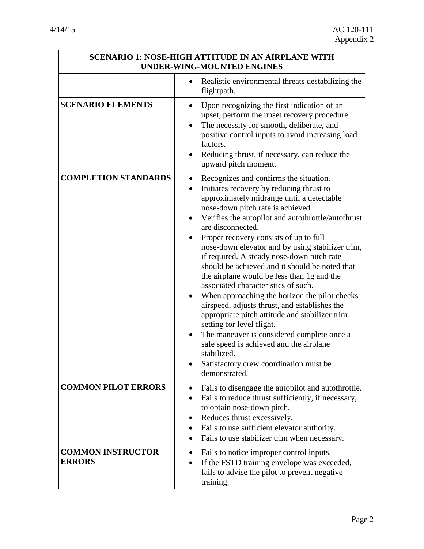| <b>SCENARIO 1: NOSE-HIGH ATTITUDE IN AN AIRPLANE WITH</b><br><b>UNDER-WING-MOUNTED ENGINES</b> |                                                                                                                                                                                                                                                                                                                                                                                                                                                                                                                                                                                                                                                                                                                                                                                                                                                                                                     |
|------------------------------------------------------------------------------------------------|-----------------------------------------------------------------------------------------------------------------------------------------------------------------------------------------------------------------------------------------------------------------------------------------------------------------------------------------------------------------------------------------------------------------------------------------------------------------------------------------------------------------------------------------------------------------------------------------------------------------------------------------------------------------------------------------------------------------------------------------------------------------------------------------------------------------------------------------------------------------------------------------------------|
|                                                                                                | Realistic environmental threats destabilizing the<br>flightpath.                                                                                                                                                                                                                                                                                                                                                                                                                                                                                                                                                                                                                                                                                                                                                                                                                                    |
| <b>SCENARIO ELEMENTS</b>                                                                       | Upon recognizing the first indication of an<br>upset, perform the upset recovery procedure.<br>The necessity for smooth, deliberate, and<br>$\bullet$<br>positive control inputs to avoid increasing load<br>factors.<br>Reducing thrust, if necessary, can reduce the<br>upward pitch moment.                                                                                                                                                                                                                                                                                                                                                                                                                                                                                                                                                                                                      |
| <b>COMPLETION STANDARDS</b>                                                                    | Recognizes and confirms the situation.<br>Initiates recovery by reducing thrust to<br>approximately midrange until a detectable<br>nose-down pitch rate is achieved.<br>Verifies the autopilot and autothrottle/autothrust<br>are disconnected.<br>Proper recovery consists of up to full<br>nose-down elevator and by using stabilizer trim,<br>if required. A steady nose-down pitch rate<br>should be achieved and it should be noted that<br>the airplane would be less than 1g and the<br>associated characteristics of such.<br>When approaching the horizon the pilot checks<br>$\bullet$<br>airspeed, adjusts thrust, and establishes the<br>appropriate pitch attitude and stabilizer trim<br>setting for level flight.<br>The maneuver is considered complete once a<br>safe speed is achieved and the airplane<br>stabilized.<br>Satisfactory crew coordination must be<br>demonstrated. |
| <b>COMMON PILOT ERRORS</b>                                                                     | Fails to disengage the autopilot and autothrottle.<br>Fails to reduce thrust sufficiently, if necessary,<br>to obtain nose-down pitch.<br>Reduces thrust excessively.<br>Fails to use sufficient elevator authority.<br>Fails to use stabilizer trim when necessary.                                                                                                                                                                                                                                                                                                                                                                                                                                                                                                                                                                                                                                |
| <b>COMMON INSTRUCTOR</b><br><b>ERRORS</b>                                                      | Fails to notice improper control inputs.<br>$\bullet$<br>If the FSTD training envelope was exceeded,<br>fails to advise the pilot to prevent negative<br>training.                                                                                                                                                                                                                                                                                                                                                                                                                                                                                                                                                                                                                                                                                                                                  |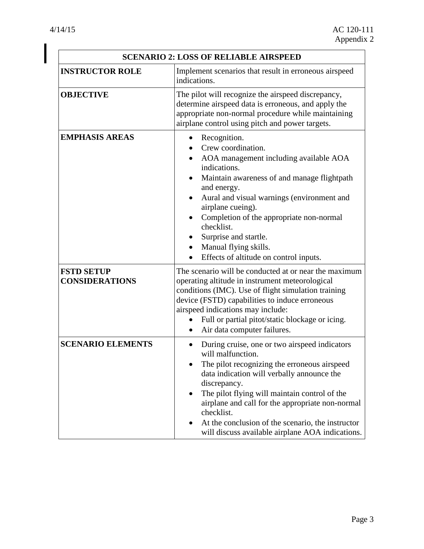I

|                                            | <b>SCENARIO 2: LOSS OF RELIABLE AIRSPEED</b>                                                                                                                                                                                                                                                                                                                                                                 |
|--------------------------------------------|--------------------------------------------------------------------------------------------------------------------------------------------------------------------------------------------------------------------------------------------------------------------------------------------------------------------------------------------------------------------------------------------------------------|
| <b>INSTRUCTOR ROLE</b>                     | Implement scenarios that result in erroneous airspeed<br>indications.                                                                                                                                                                                                                                                                                                                                        |
| <b>OBJECTIVE</b>                           | The pilot will recognize the airspeed discrepancy,<br>determine airspeed data is erroneous, and apply the<br>appropriate non-normal procedure while maintaining<br>airplane control using pitch and power targets.                                                                                                                                                                                           |
| <b>EMPHASIS AREAS</b>                      | Recognition.<br>Crew coordination.<br>AOA management including available AOA<br>indications.<br>Maintain awareness of and manage flightpath<br>and energy.<br>Aural and visual warnings (environment and<br>airplane cueing).<br>Completion of the appropriate non-normal<br>checklist.<br>Surprise and startle.<br>Manual flying skills.<br>Effects of altitude on control inputs.                          |
| <b>FSTD SETUP</b><br><b>CONSIDERATIONS</b> | The scenario will be conducted at or near the maximum<br>operating altitude in instrument meteorological<br>conditions (IMC). Use of flight simulation training<br>device (FSTD) capabilities to induce erroneous<br>airspeed indications may include:<br>Full or partial pitot/static blockage or icing.<br>Air data computer failures.<br>$\bullet$                                                        |
| <b>SCENARIO ELEMENTS</b>                   | During cruise, one or two airspeed indicators<br>will malfunction.<br>The pilot recognizing the erroneous airspeed<br>data indication will verbally announce the<br>discrepancy.<br>The pilot flying will maintain control of the<br>airplane and call for the appropriate non-normal<br>checklist.<br>At the conclusion of the scenario, the instructor<br>will discuss available airplane AOA indications. |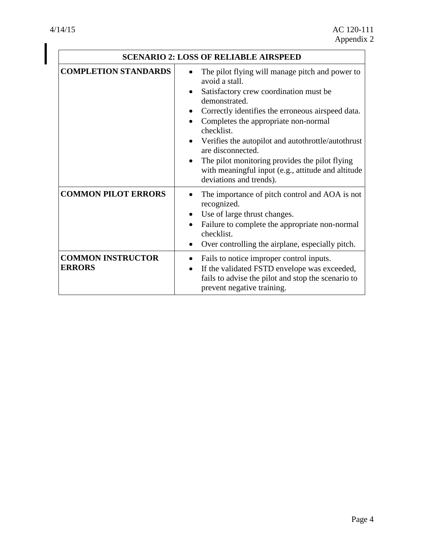|                                           | <b>SCENARIO 2: LOSS OF RELIABLE AIRSPEED</b>                                                                                                                                                                                                                                                                                                                                                                                                                       |
|-------------------------------------------|--------------------------------------------------------------------------------------------------------------------------------------------------------------------------------------------------------------------------------------------------------------------------------------------------------------------------------------------------------------------------------------------------------------------------------------------------------------------|
| <b>COMPLETION STANDARDS</b>               | The pilot flying will manage pitch and power to<br>avoid a stall.<br>Satisfactory crew coordination must be<br>demonstrated.<br>Correctly identifies the erroneous airspeed data.<br>Completes the appropriate non-normal<br>checklist.<br>Verifies the autopilot and autothrottle/autothrust<br>are disconnected.<br>The pilot monitoring provides the pilot flying<br>$\bullet$<br>with meaningful input (e.g., attitude and altitude<br>deviations and trends). |
| <b>COMMON PILOT ERRORS</b>                | The importance of pitch control and AOA is not<br>recognized.<br>Use of large thrust changes.<br>Failure to complete the appropriate non-normal<br>checklist.<br>Over controlling the airplane, especially pitch.<br>$\bullet$                                                                                                                                                                                                                                     |
| <b>COMMON INSTRUCTOR</b><br><b>ERRORS</b> | Fails to notice improper control inputs.<br>If the validated FSTD envelope was exceeded,<br>$\bullet$<br>fails to advise the pilot and stop the scenario to<br>prevent negative training.                                                                                                                                                                                                                                                                          |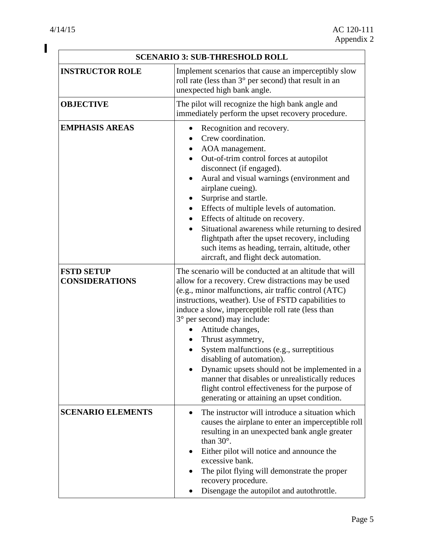$\mathbf I$ 

|                                            | <b>SCENARIO 3: SUB-THRESHOLD ROLL</b>                                                                                                                                                                                                                                                                                                                                                                                                                                                                                                                                                                                                                   |
|--------------------------------------------|---------------------------------------------------------------------------------------------------------------------------------------------------------------------------------------------------------------------------------------------------------------------------------------------------------------------------------------------------------------------------------------------------------------------------------------------------------------------------------------------------------------------------------------------------------------------------------------------------------------------------------------------------------|
| <b>INSTRUCTOR ROLE</b>                     | Implement scenarios that cause an imperceptibly slow<br>roll rate (less than $3^{\circ}$ per second) that result in an<br>unexpected high bank angle.                                                                                                                                                                                                                                                                                                                                                                                                                                                                                                   |
| <b>OBJECTIVE</b>                           | The pilot will recognize the high bank angle and<br>immediately perform the upset recovery procedure.                                                                                                                                                                                                                                                                                                                                                                                                                                                                                                                                                   |
| <b>EMPHASIS AREAS</b>                      | Recognition and recovery.<br>Crew coordination.<br>AOA management.<br>Out-of-trim control forces at autopilot<br>$\bullet$<br>disconnect (if engaged).<br>Aural and visual warnings (environment and<br>airplane cueing).<br>Surprise and startle.<br>Effects of multiple levels of automation.<br>٠<br>Effects of altitude on recovery.<br>Situational awareness while returning to desired<br>flightpath after the upset recovery, including<br>such items as heading, terrain, altitude, other<br>aircraft, and flight deck automation.                                                                                                              |
| <b>FSTD SETUP</b><br><b>CONSIDERATIONS</b> | The scenario will be conducted at an altitude that will<br>allow for a recovery. Crew distractions may be used<br>(e.g., minor malfunctions, air traffic control (ATC)<br>instructions, weather). Use of FSTD capabilities to<br>induce a slow, imperceptible roll rate (less than<br>3° per second) may include:<br>Attitude changes,<br>$\bullet$<br>Thrust asymmetry,<br>System malfunctions (e.g., surreptitious<br>disabling of automation).<br>Dynamic upsets should not be implemented in a<br>manner that disables or unrealistically reduces<br>flight control effectiveness for the purpose of<br>generating or attaining an upset condition. |
| <b>SCENARIO ELEMENTS</b>                   | The instructor will introduce a situation which<br>$\bullet$<br>causes the airplane to enter an imperceptible roll<br>resulting in an unexpected bank angle greater<br>than $30^\circ$ .<br>Either pilot will notice and announce the<br>excessive bank.<br>The pilot flying will demonstrate the proper<br>recovery procedure.<br>Disengage the autopilot and autothrottle.                                                                                                                                                                                                                                                                            |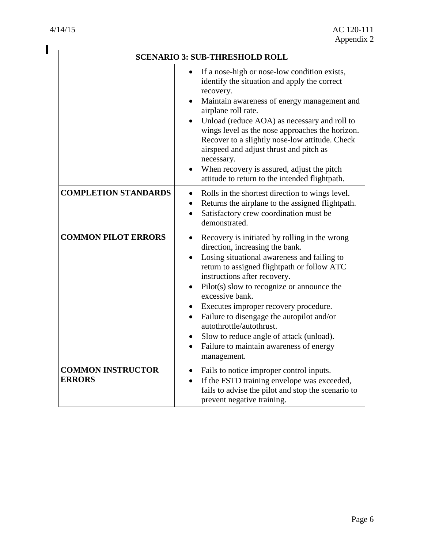$\overline{\mathbf{I}}$ 

|                                           | <b>SCENARIO 3: SUB-THRESHOLD ROLL</b>                                                                                                                                                                                                                                                                                                                                                                                                                                                                                                          |
|-------------------------------------------|------------------------------------------------------------------------------------------------------------------------------------------------------------------------------------------------------------------------------------------------------------------------------------------------------------------------------------------------------------------------------------------------------------------------------------------------------------------------------------------------------------------------------------------------|
|                                           | If a nose-high or nose-low condition exists,<br>$\bullet$<br>identify the situation and apply the correct<br>recovery.<br>Maintain awareness of energy management and<br>airplane roll rate.<br>Unload (reduce AOA) as necessary and roll to<br>wings level as the nose approaches the horizon.<br>Recover to a slightly nose-low attitude. Check<br>airspeed and adjust thrust and pitch as<br>necessary.<br>When recovery is assured, adjust the pitch<br>attitude to return to the intended flightpath.                                     |
| <b>COMPLETION STANDARDS</b>               | Rolls in the shortest direction to wings level.<br>$\bullet$<br>Returns the airplane to the assigned flightpath.<br>Satisfactory crew coordination must be<br>$\bullet$<br>demonstrated.                                                                                                                                                                                                                                                                                                                                                       |
| <b>COMMON PILOT ERRORS</b>                | Recovery is initiated by rolling in the wrong<br>$\bullet$<br>direction, increasing the bank.<br>Losing situational awareness and failing to<br>return to assigned flightpath or follow ATC<br>instructions after recovery.<br>Pilot(s) slow to recognize or announce the<br>excessive bank.<br>Executes improper recovery procedure.<br>Failure to disengage the autopilot and/or<br>$\bullet$<br>autothrottle/autothrust.<br>Slow to reduce angle of attack (unload).<br>Failure to maintain awareness of energy<br>$\bullet$<br>management. |
| <b>COMMON INSTRUCTOR</b><br><b>ERRORS</b> | Fails to notice improper control inputs.<br>If the FSTD training envelope was exceeded,<br>$\bullet$<br>fails to advise the pilot and stop the scenario to<br>prevent negative training.                                                                                                                                                                                                                                                                                                                                                       |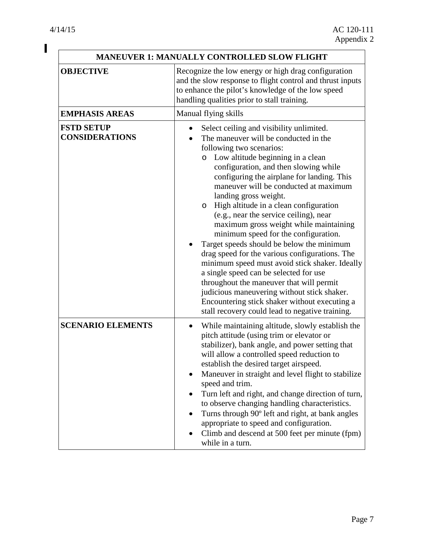$\mathbf I$ 

|                                            | <b>MANEUVER 1: MANUALLY CONTROLLED SLOW FLIGHT</b>                                                                                                                                                                                                                                                                                                                                                                                                                                                                                                                                                                                                                                                                                                                                                                                                                                                |
|--------------------------------------------|---------------------------------------------------------------------------------------------------------------------------------------------------------------------------------------------------------------------------------------------------------------------------------------------------------------------------------------------------------------------------------------------------------------------------------------------------------------------------------------------------------------------------------------------------------------------------------------------------------------------------------------------------------------------------------------------------------------------------------------------------------------------------------------------------------------------------------------------------------------------------------------------------|
| <b>OBJECTIVE</b>                           | Recognize the low energy or high drag configuration<br>and the slow response to flight control and thrust inputs<br>to enhance the pilot's knowledge of the low speed<br>handling qualities prior to stall training.                                                                                                                                                                                                                                                                                                                                                                                                                                                                                                                                                                                                                                                                              |
| <b>EMPHASIS AREAS</b>                      | Manual flying skills                                                                                                                                                                                                                                                                                                                                                                                                                                                                                                                                                                                                                                                                                                                                                                                                                                                                              |
| <b>FSTD SETUP</b><br><b>CONSIDERATIONS</b> | Select ceiling and visibility unlimited.<br>The maneuver will be conducted in the<br>following two scenarios:<br>Low altitude beginning in a clean<br>$\circ$<br>configuration, and then slowing while<br>configuring the airplane for landing. This<br>maneuver will be conducted at maximum<br>landing gross weight.<br>High altitude in a clean configuration<br>$\circ$<br>(e.g., near the service ceiling), near<br>maximum gross weight while maintaining<br>minimum speed for the configuration.<br>Target speeds should be below the minimum<br>drag speed for the various configurations. The<br>minimum speed must avoid stick shaker. Ideally<br>a single speed can be selected for use<br>throughout the maneuver that will permit<br>judicious maneuvering without stick shaker.<br>Encountering stick shaker without executing a<br>stall recovery could lead to negative training. |
| <b>SCENARIO ELEMENTS</b>                   | While maintaining altitude, slowly establish the<br>$\bullet$<br>pitch attitude (using trim or elevator or<br>stabilizer), bank angle, and power setting that<br>will allow a controlled speed reduction to<br>establish the desired target airspeed.<br>Maneuver in straight and level flight to stabilize<br>speed and trim.<br>Turn left and right, and change direction of turn,<br>to observe changing handling characteristics.<br>Turns through 90° left and right, at bank angles<br>appropriate to speed and configuration.<br>Climb and descend at 500 feet per minute (fpm)<br>while in a turn.                                                                                                                                                                                                                                                                                        |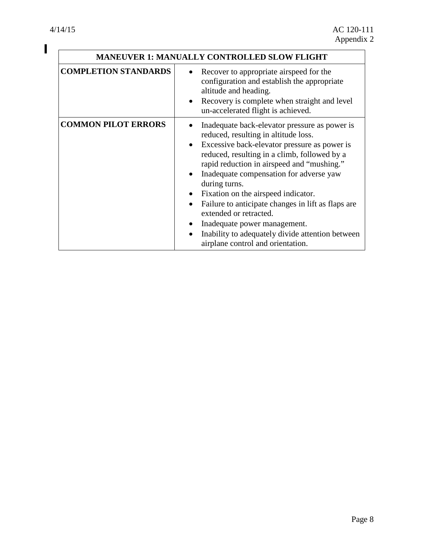$\overline{\phantom{a}}$ 

|                             | <b>MANEUVER 1: MANUALLY CONTROLLED SLOW FLIGHT</b>                                                                                                                                                                                                                                                                                                                                                                                                                                                                                              |  |
|-----------------------------|-------------------------------------------------------------------------------------------------------------------------------------------------------------------------------------------------------------------------------------------------------------------------------------------------------------------------------------------------------------------------------------------------------------------------------------------------------------------------------------------------------------------------------------------------|--|
| <b>COMPLETION STANDARDS</b> | Recover to appropriate airspeed for the<br>configuration and establish the appropriate<br>altitude and heading.<br>Recovery is complete when straight and level<br>un-accelerated flight is achieved.                                                                                                                                                                                                                                                                                                                                           |  |
| <b>COMMON PILOT ERRORS</b>  | Inadequate back-elevator pressure as power is<br>reduced, resulting in altitude loss.<br>Excessive back-elevator pressure as power is<br>reduced, resulting in a climb, followed by a<br>rapid reduction in airspeed and "mushing."<br>Inadequate compensation for adverse yaw<br>during turns.<br>Fixation on the airspeed indicator.<br>Failure to anticipate changes in lift as flaps are<br>extended or retracted.<br>Inadequate power management.<br>Inability to adequately divide attention between<br>airplane control and orientation. |  |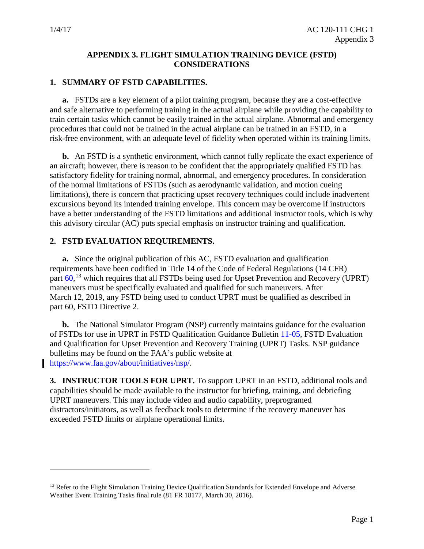$\overline{a}$ 

#### **APPENDIX 3. FLIGHT SIMULATION TRAINING DEVICE (FSTD) CONSIDERATIONS**

#### <span id="page-42-0"></span>**1. SUMMARY OF FSTD CAPABILITIES.**

**a.** FSTDs are a key element of a pilot training program, because they are a cost-effective and safe alternative to performing training in the actual airplane while providing the capability to train certain tasks which cannot be easily trained in the actual airplane. Abnormal and emergency procedures that could not be trained in the actual airplane can be trained in an FSTD, in a risk-free environment, with an adequate level of fidelity when operated within its training limits.

**b.** An FSTD is a synthetic environment, which cannot fully replicate the exact experience of an aircraft; however, there is reason to be confident that the appropriately qualified FSTD has satisfactory fidelity for training normal, abnormal, and emergency procedures. In consideration of the normal limitations of FSTDs (such as aerodynamic validation, and motion cueing limitations), there is concern that practicing upset recovery techniques could include inadvertent excursions beyond its intended training envelope. This concern may be overcome if instructors have a better understanding of the FSTD limitations and additional instructor tools, which is why this advisory circular (AC) puts special emphasis on instructor training and qualification.

#### **2. FSTD EVALUATION REQUIREMENTS.**

**a.** Since the original publication of this AC, FSTD evaluation and qualification requirements have been codified in Title 14 of the Code of Federal Regulations (14 CFR) part  $\underline{60}$ ,<sup>[13](#page-42-1)</sup> which requires that all FSTDs being used for Upset Prevention and Recovery (UPRT) maneuvers must be specifically evaluated and qualified for such maneuvers. After March 12, 2019, any FSTD being used to conduct UPRT must be qualified as described in part 60, FSTD Directive 2.

**b.** The National Simulator Program (NSP) currently maintains guidance for the evaluation of FSTDs for use in UPRT in FSTD Qualification Guidance Bulletin [11-05,](https://www.faa.gov/about/initiatives/nsp/bulletins/media/11-05.pdf) FSTD Evaluation and Qualification for Upset Prevention and Recovery Training (UPRT) Tasks. NSP guidance bulletins may be found on the FAA's public website at [https://www.faa.gov/about/initiatives/nsp/.](https://www.faa.gov/about/initiatives/nsp/)

**3. INSTRUCTOR TOOLS FOR UPRT.** To support UPRT in an FSTD, additional tools and capabilities should be made available to the instructor for briefing, training, and debriefing UPRT maneuvers. This may include video and audio capability, preprogramed distractors/initiators, as well as feedback tools to determine if the recovery maneuver has exceeded FSTD limits or airplane operational limits.

<span id="page-42-1"></span><sup>&</sup>lt;sup>13</sup> Refer to the Flight Simulation Training Device Qualification Standards for Extended Envelope and Adverse Weather Event Training Tasks final rule (81 FR 18177, March 30, 2016).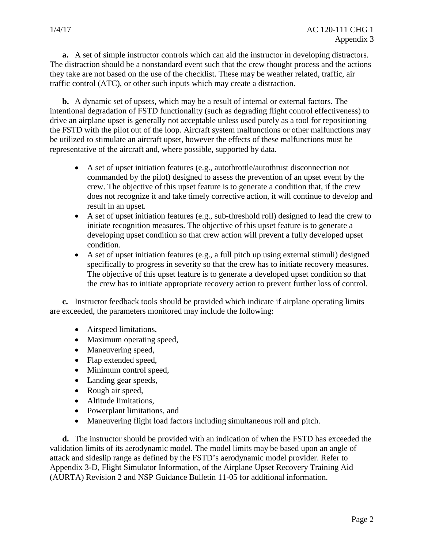**a.** A set of simple instructor controls which can aid the instructor in developing distractors. The distraction should be a nonstandard event such that the crew thought process and the actions they take are not based on the use of the checklist. These may be weather related, traffic, air traffic control (ATC), or other such inputs which may create a distraction.

**b.** A dynamic set of upsets, which may be a result of internal or external factors. The intentional degradation of FSTD functionality (such as degrading flight control effectiveness) to drive an airplane upset is generally not acceptable unless used purely as a tool for repositioning the FSTD with the pilot out of the loop. Aircraft system malfunctions or other malfunctions may be utilized to stimulate an aircraft upset, however the effects of these malfunctions must be representative of the aircraft and, where possible, supported by data.

- A set of upset initiation features (e.g., autothrottle/autothrust disconnection not commanded by the pilot) designed to assess the prevention of an upset event by the crew. The objective of this upset feature is to generate a condition that, if the crew does not recognize it and take timely corrective action, it will continue to develop and result in an upset.
- A set of upset initiation features (e.g., sub-threshold roll) designed to lead the crew to initiate recognition measures. The objective of this upset feature is to generate a developing upset condition so that crew action will prevent a fully developed upset condition.
- A set of upset initiation features (e.g., a full pitch up using external stimuli) designed specifically to progress in severity so that the crew has to initiate recovery measures. The objective of this upset feature is to generate a developed upset condition so that the crew has to initiate appropriate recovery action to prevent further loss of control.

**c.** Instructor feedback tools should be provided which indicate if airplane operating limits are exceeded, the parameters monitored may include the following:

- Airspeed limitations,
- Maximum operating speed,
- Maneuvering speed,
- Flap extended speed,
- Minimum control speed,
- Landing gear speeds,
- Rough air speed,
- Altitude limitations,
- Powerplant limitations, and
- Maneuvering flight load factors including simultaneous roll and pitch.

**d.** The instructor should be provided with an indication of when the FSTD has exceeded the validation limits of its aerodynamic model. The model limits may be based upon an angle of attack and sideslip range as defined by the FSTD's aerodynamic model provider. Refer to Appendix 3-D, Flight Simulator Information, of the Airplane Upset Recovery Training Aid (AURTA) Revision 2 and NSP Guidance Bulletin 11-05 for additional information.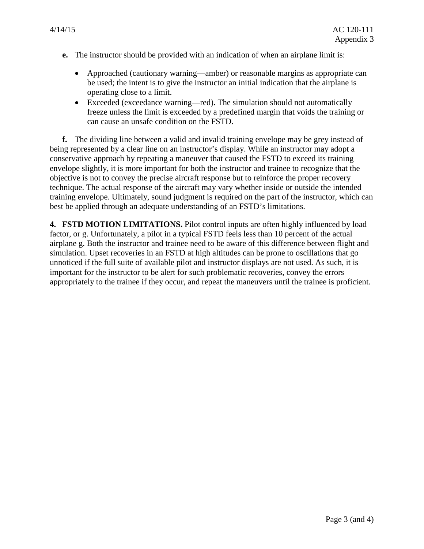- **e.** The instructor should be provided with an indication of when an airplane limit is:
	- Approached (cautionary warning—amber) or reasonable margins as appropriate can be used; the intent is to give the instructor an initial indication that the airplane is operating close to a limit.
	- Exceeded (exceedance warning—red). The simulation should not automatically freeze unless the limit is exceeded by a predefined margin that voids the training or can cause an unsafe condition on the FSTD.

**f.** The dividing line between a valid and invalid training envelope may be grey instead of being represented by a clear line on an instructor's display. While an instructor may adopt a conservative approach by repeating a maneuver that caused the FSTD to exceed its training envelope slightly, it is more important for both the instructor and trainee to recognize that the objective is not to convey the precise aircraft response but to reinforce the proper recovery technique. The actual response of the aircraft may vary whether inside or outside the intended training envelope. Ultimately, sound judgment is required on the part of the instructor, which can best be applied through an adequate understanding of an FSTD's limitations.

**4. FSTD MOTION LIMITATIONS.** Pilot control inputs are often highly influenced by load factor, or g. Unfortunately, a pilot in a typical FSTD feels less than 10 percent of the actual airplane g. Both the instructor and trainee need to be aware of this difference between flight and simulation. Upset recoveries in an FSTD at high altitudes can be prone to oscillations that go unnoticed if the full suite of available pilot and instructor displays are not used. As such, it is important for the instructor to be alert for such problematic recoveries, convey the errors appropriately to the trainee if they occur, and repeat the maneuvers until the trainee is proficient.